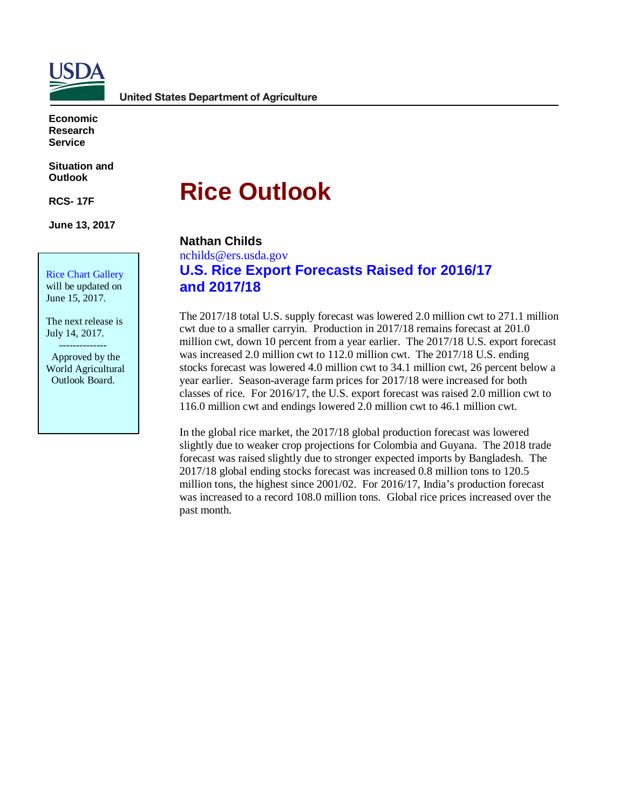

**Economic Research Service**

**Situation and Outlook**

**RCS- 17F**

**June 13, 2017** 

Rice Chart Gallery will be updated on June 15, 2017.

The next release is July 14, 2017. --------------

 Approved by the World Agricultural Outlook Board.

# **Rice Outlook**

### **Nathan Childs**

nchilds@ers.usda.gov

## **U.S. Rice Export Forecasts Raised for 2016/17 and 2017/18**

The 2017/18 total U.S. supply forecast was lowered 2.0 million cwt to 271.1 million cwt due to a smaller carryin. Production in 2017/18 remains forecast at 201.0 million cwt, down 10 percent from a year earlier. The 2017/18 U.S. export forecast was increased 2.0 million cwt to 112.0 million cwt. The 2017/18 U.S. ending stocks forecast was lowered 4.0 million cwt to 34.1 million cwt, 26 percent below a year earlier. Season-average farm prices for 2017/18 were increased for both classes of rice. For 2016/17, the U.S. export forecast was raised 2.0 million cwt to 116.0 million cwt and endings lowered 2.0 million cwt to 46.1 million cwt.

In the global rice market, the 2017/18 global production forecast was lowered slightly due to weaker crop projections for Colombia and Guyana. The 2018 trade forecast was raised slightly due to stronger expected imports by Bangladesh. The 2017/18 global ending stocks forecast was increased 0.8 million tons to 120.5 million tons, the highest since 2001/02. For 2016/17, India's production forecast was increased to a record 108.0 million tons. Global rice prices increased over the past month.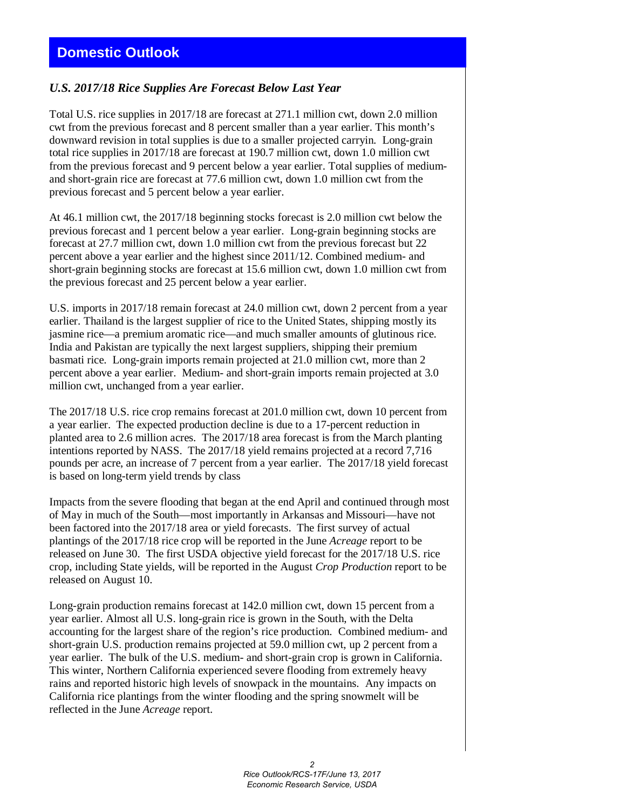## **Domestic Outlook**

#### *U.S. 2017/18 Rice Supplies Are Forecast Below Last Year*

Total U.S. rice supplies in 2017/18 are forecast at 271.1 million cwt, down 2.0 million cwt from the previous forecast and 8 percent smaller than a year earlier. This month's downward revision in total supplies is due to a smaller projected carryin. Long-grain total rice supplies in 2017/18 are forecast at 190.7 million cwt, down 1.0 million cwt from the previous forecast and 9 percent below a year earlier. Total supplies of mediumand short-grain rice are forecast at 77.6 million cwt, down 1.0 million cwt from the previous forecast and 5 percent below a year earlier.

At 46.1 million cwt, the 2017/18 beginning stocks forecast is 2.0 million cwt below the previous forecast and 1 percent below a year earlier. Long-grain beginning stocks are forecast at 27.7 million cwt, down 1.0 million cwt from the previous forecast but 22 percent above a year earlier and the highest since 2011/12. Combined medium- and short-grain beginning stocks are forecast at 15.6 million cwt, down 1.0 million cwt from the previous forecast and 25 percent below a year earlier.

U.S. imports in 2017/18 remain forecast at 24.0 million cwt, down 2 percent from a year earlier. Thailand is the largest supplier of rice to the United States, shipping mostly its jasmine rice—a premium aromatic rice—and much smaller amounts of glutinous rice. India and Pakistan are typically the next largest suppliers, shipping their premium basmati rice. Long-grain imports remain projected at 21.0 million cwt, more than 2 percent above a year earlier. Medium- and short-grain imports remain projected at 3.0 million cwt, unchanged from a year earlier.

The 2017/18 U.S. rice crop remains forecast at 201.0 million cwt, down 10 percent from a year earlier. The expected production decline is due to a 17-percent reduction in planted area to 2.6 million acres. The 2017/18 area forecast is from the March planting intentions reported by NASS. The 2017/18 yield remains projected at a record 7,716 pounds per acre, an increase of 7 percent from a year earlier. The 2017/18 yield forecast is based on long-term yield trends by class

Impacts from the severe flooding that began at the end April and continued through most of May in much of the South—most importantly in Arkansas and Missouri—have not been factored into the 2017/18 area or yield forecasts. The first survey of actual plantings of the 2017/18 rice crop will be reported in the June *Acreage* report to be released on June 30. The first USDA objective yield forecast for the 2017/18 U.S. rice crop, including State yields, will be reported in the August *Crop Production* report to be released on August 10.

Long-grain production remains forecast at 142.0 million cwt, down 15 percent from a year earlier. Almost all U.S. long-grain rice is grown in the South, with the Delta accounting for the largest share of the region's rice production. Combined medium- and short-grain U.S. production remains projected at 59.0 million cwt, up 2 percent from a year earlier. The bulk of the U.S. medium- and short-grain crop is grown in California. This winter, Northern California experienced severe flooding from extremely heavy rains and reported historic high levels of snowpack in the mountains. Any impacts on California rice plantings from the winter flooding and the spring snowmelt will be reflected in the June *Acreage* report.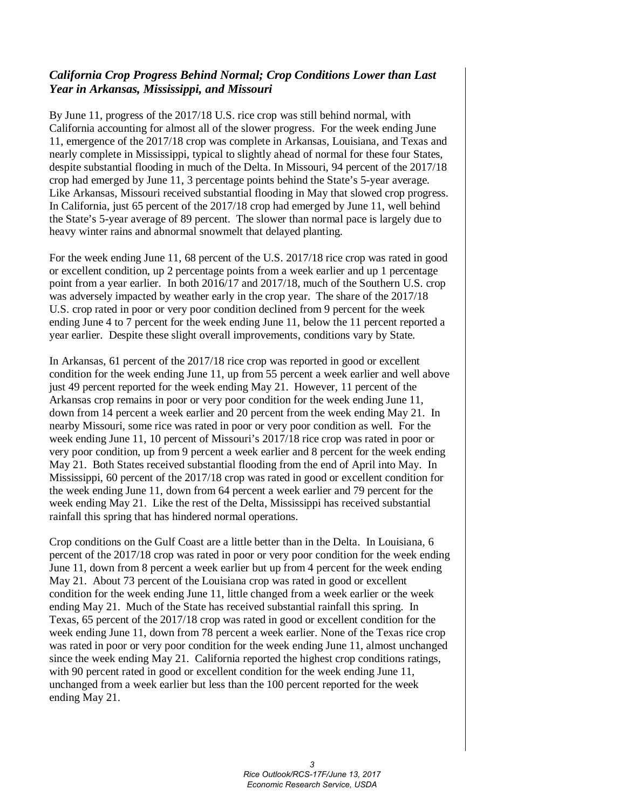#### *California Crop Progress Behind Normal; Crop Conditions Lower than Last Year in Arkansas, Mississippi, and Missouri*

By June 11, progress of the 2017/18 U.S. rice crop was still behind normal, with California accounting for almost all of the slower progress. For the week ending June 11, emergence of the 2017/18 crop was complete in Arkansas, Louisiana, and Texas and nearly complete in Mississippi, typical to slightly ahead of normal for these four States, despite substantial flooding in much of the Delta. In Missouri, 94 percent of the 2017/18 crop had emerged by June 11, 3 percentage points behind the State's 5-year average. Like Arkansas, Missouri received substantial flooding in May that slowed crop progress. In California, just 65 percent of the 2017/18 crop had emerged by June 11, well behind the State's 5-year average of 89 percent. The slower than normal pace is largely due to heavy winter rains and abnormal snowmelt that delayed planting.

For the week ending June 11, 68 percent of the U.S. 2017/18 rice crop was rated in good or excellent condition, up 2 percentage points from a week earlier and up 1 percentage point from a year earlier. In both 2016/17 and 2017/18, much of the Southern U.S. crop was adversely impacted by weather early in the crop year. The share of the 2017/18 U.S. crop rated in poor or very poor condition declined from 9 percent for the week ending June 4 to 7 percent for the week ending June 11, below the 11 percent reported a year earlier. Despite these slight overall improvements, conditions vary by State.

In Arkansas, 61 percent of the 2017/18 rice crop was reported in good or excellent condition for the week ending June 11, up from 55 percent a week earlier and well above just 49 percent reported for the week ending May 21. However, 11 percent of the Arkansas crop remains in poor or very poor condition for the week ending June 11, down from 14 percent a week earlier and 20 percent from the week ending May 21. In nearby Missouri, some rice was rated in poor or very poor condition as well. For the week ending June 11, 10 percent of Missouri's 2017/18 rice crop was rated in poor or very poor condition, up from 9 percent a week earlier and 8 percent for the week ending May 21. Both States received substantial flooding from the end of April into May. In Mississippi, 60 percent of the 2017/18 crop was rated in good or excellent condition for the week ending June 11, down from 64 percent a week earlier and 79 percent for the week ending May 21. Like the rest of the Delta, Mississippi has received substantial rainfall this spring that has hindered normal operations.

Crop conditions on the Gulf Coast are a little better than in the Delta. In Louisiana, 6 percent of the 2017/18 crop was rated in poor or very poor condition for the week ending June 11, down from 8 percent a week earlier but up from 4 percent for the week ending May 21. About 73 percent of the Louisiana crop was rated in good or excellent condition for the week ending June 11, little changed from a week earlier or the week ending May 21. Much of the State has received substantial rainfall this spring. In Texas, 65 percent of the 2017/18 crop was rated in good or excellent condition for the week ending June 11, down from 78 percent a week earlier. None of the Texas rice crop was rated in poor or very poor condition for the week ending June 11, almost unchanged since the week ending May 21. California reported the highest crop conditions ratings, with 90 percent rated in good or excellent condition for the week ending June 11, unchanged from a week earlier but less than the 100 percent reported for the week ending May 21.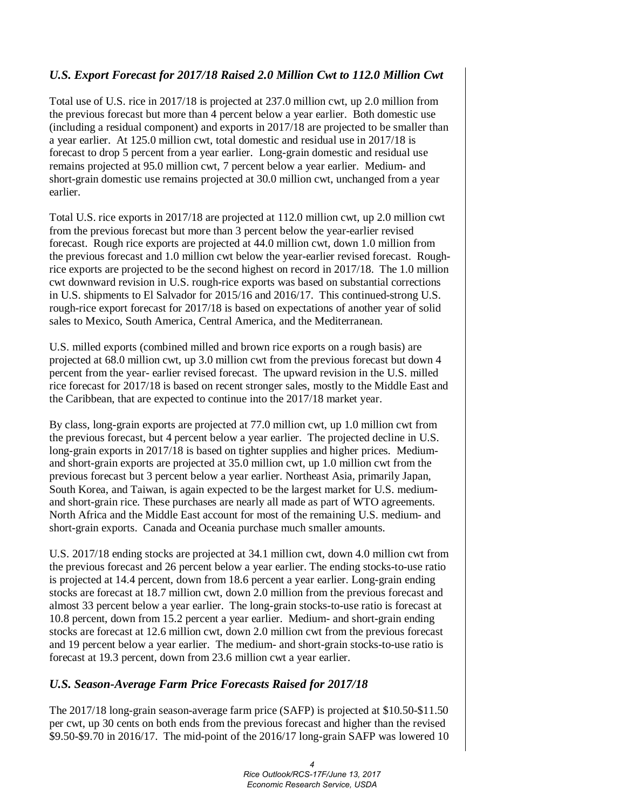### *U.S. Export Forecast for 2017/18 Raised 2.0 Million Cwt to 112.0 Million Cwt*

Total use of U.S. rice in 2017/18 is projected at 237.0 million cwt, up 2.0 million from the previous forecast but more than 4 percent below a year earlier. Both domestic use (including a residual component) and exports in 2017/18 are projected to be smaller than a year earlier. At 125.0 million cwt, total domestic and residual use in 2017/18 is forecast to drop 5 percent from a year earlier. Long-grain domestic and residual use remains projected at 95.0 million cwt, 7 percent below a year earlier. Medium- and short-grain domestic use remains projected at 30.0 million cwt, unchanged from a year earlier.

Total U.S. rice exports in 2017/18 are projected at 112.0 million cwt, up 2.0 million cwt from the previous forecast but more than 3 percent below the year-earlier revised forecast. Rough rice exports are projected at 44.0 million cwt, down 1.0 million from the previous forecast and 1.0 million cwt below the year-earlier revised forecast. Roughrice exports are projected to be the second highest on record in 2017/18. The 1.0 million cwt downward revision in U.S. rough-rice exports was based on substantial corrections in U.S. shipments to El Salvador for 2015/16 and 2016/17. This continued-strong U.S. rough-rice export forecast for 2017/18 is based on expectations of another year of solid sales to Mexico, South America, Central America, and the Mediterranean.

U.S. milled exports (combined milled and brown rice exports on a rough basis) are projected at 68.0 million cwt, up 3.0 million cwt from the previous forecast but down 4 percent from the year- earlier revised forecast. The upward revision in the U.S. milled rice forecast for 2017/18 is based on recent stronger sales, mostly to the Middle East and the Caribbean, that are expected to continue into the 2017/18 market year.

By class, long-grain exports are projected at 77.0 million cwt, up 1.0 million cwt from the previous forecast, but 4 percent below a year earlier. The projected decline in U.S. long-grain exports in 2017/18 is based on tighter supplies and higher prices. Mediumand short-grain exports are projected at 35.0 million cwt, up 1.0 million cwt from the previous forecast but 3 percent below a year earlier. Northeast Asia, primarily Japan, South Korea, and Taiwan, is again expected to be the largest market for U.S. mediumand short-grain rice. These purchases are nearly all made as part of WTO agreements. North Africa and the Middle East account for most of the remaining U.S. medium- and short-grain exports. Canada and Oceania purchase much smaller amounts.

U.S. 2017/18 ending stocks are projected at 34.1 million cwt, down 4.0 million cwt from the previous forecast and 26 percent below a year earlier. The ending stocks-to-use ratio is projected at 14.4 percent, down from 18.6 percent a year earlier. Long-grain ending stocks are forecast at 18.7 million cwt, down 2.0 million from the previous forecast and almost 33 percent below a year earlier. The long-grain stocks-to-use ratio is forecast at 10.8 percent, down from 15.2 percent a year earlier. Medium- and short-grain ending stocks are forecast at 12.6 million cwt, down 2.0 million cwt from the previous forecast and 19 percent below a year earlier. The medium- and short-grain stocks-to-use ratio is forecast at 19.3 percent, down from 23.6 million cwt a year earlier.

#### *U.S. Season-Average Farm Price Forecasts Raised for 2017/18*

The 2017/18 long-grain season-average farm price (SAFP) is projected at \$10.50-\$11.50 per cwt, up 30 cents on both ends from the previous forecast and higher than the revised \$9.50-\$9.70 in 2016/17. The mid-point of the 2016/17 long-grain SAFP was lowered 10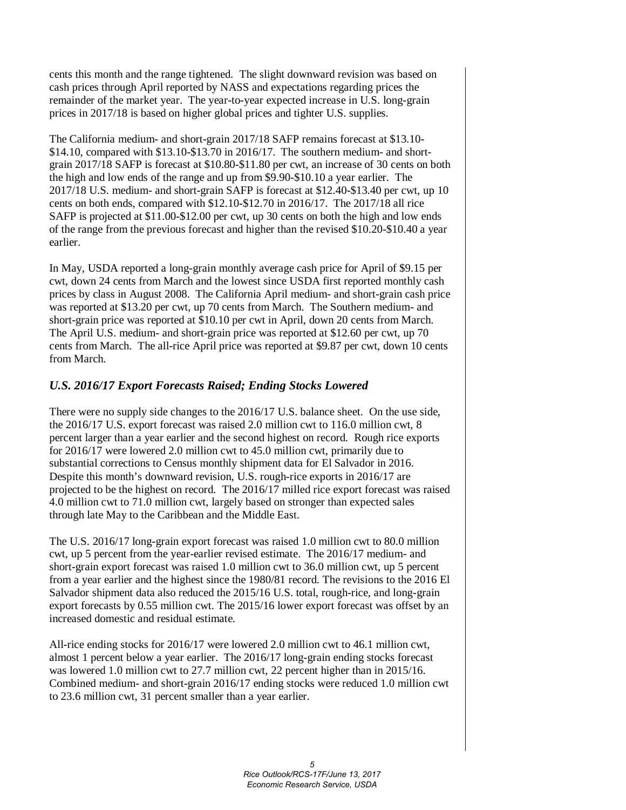cents this month and the range tightened. The slight downward revision was based on cash prices through April reported by NASS and expectations regarding prices the remainder of the market year. The year-to-year expected increase in U.S. long-grain prices in 2017/18 is based on higher global prices and tighter U.S. supplies.

The California medium- and short-grain 2017/18 SAFP remains forecast at \$13.10- \$14.10, compared with \$13.10-\$13.70 in 2016/17. The southern medium- and shortgrain 2017/18 SAFP is forecast at \$10.80-\$11.80 per cwt, an increase of 30 cents on both the high and low ends of the range and up from \$9.90-\$10.10 a year earlier. The 2017/18 U.S. medium- and short-grain SAFP is forecast at \$12.40-\$13.40 per cwt, up 10 cents on both ends, compared with \$12.10-\$12.70 in 2016/17. The 2017/18 all rice SAFP is projected at \$11.00-\$12.00 per cwt, up 30 cents on both the high and low ends of the range from the previous forecast and higher than the revised \$10.20-\$10.40 a year earlier.

In May, USDA reported a long-grain monthly average cash price for April of \$9.15 per cwt, down 24 cents from March and the lowest since USDA first reported monthly cash prices by class in August 2008. The California April medium- and short-grain cash price was reported at \$13.20 per cwt, up 70 cents from March. The Southern medium- and short-grain price was reported at \$10.10 per cwt in April, down 20 cents from March. The April U.S. medium- and short-grain price was reported at \$12.60 per cwt, up 70 cents from March. The all-rice April price was reported at \$9.87 per cwt, down 10 cents from March.

#### *U.S. 2016/17 Export Forecasts Raised; Ending Stocks Lowered*

There were no supply side changes to the 2016/17 U.S. balance sheet. On the use side, the 2016/17 U.S. export forecast was raised 2.0 million cwt to 116.0 million cwt, 8 percent larger than a year earlier and the second highest on record. Rough rice exports for 2016/17 were lowered 2.0 million cwt to 45.0 million cwt, primarily due to substantial corrections to Census monthly shipment data for El Salvador in 2016. Despite this month's downward revision, U.S. rough-rice exports in 2016/17 are projected to be the highest on record. The 2016/17 milled rice export forecast was raised 4.0 million cwt to 71.0 million cwt, largely based on stronger than expected sales through late May to the Caribbean and the Middle East.

The U.S. 2016/17 long-grain export forecast was raised 1.0 million cwt to 80.0 million cwt, up 5 percent from the year-earlier revised estimate. The 2016/17 medium- and short-grain export forecast was raised 1.0 million cwt to 36.0 million cwt, up 5 percent from a year earlier and the highest since the 1980/81 record. The revisions to the 2016 El Salvador shipment data also reduced the 2015/16 U.S. total, rough-rice, and long-grain export forecasts by 0.55 million cwt. The 2015/16 lower export forecast was offset by an increased domestic and residual estimate.

All-rice ending stocks for 2016/17 were lowered 2.0 million cwt to 46.1 million cwt, almost 1 percent below a year earlier. The 2016/17 long-grain ending stocks forecast was lowered 1.0 million cwt to 27.7 million cwt, 22 percent higher than in 2015/16. Combined medium- and short-grain 2016/17 ending stocks were reduced 1.0 million cwt to 23.6 million cwt, 31 percent smaller than a year earlier.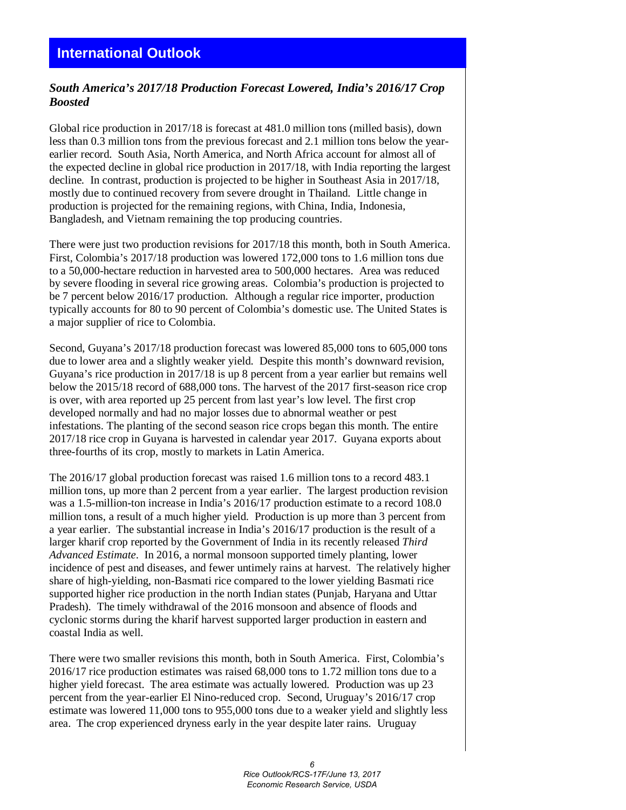### *South America's 2017/18 Production Forecast Lowered, India's 2016/17 Crop Boosted*

Global rice production in 2017/18 is forecast at 481.0 million tons (milled basis), down less than 0.3 million tons from the previous forecast and 2.1 million tons below the yearearlier record. South Asia, North America, and North Africa account for almost all of the expected decline in global rice production in 2017/18, with India reporting the largest decline. In contrast, production is projected to be higher in Southeast Asia in 2017/18, mostly due to continued recovery from severe drought in Thailand. Little change in production is projected for the remaining regions, with China, India, Indonesia, Bangladesh, and Vietnam remaining the top producing countries.

There were just two production revisions for 2017/18 this month, both in South America. First, Colombia's 2017/18 production was lowered 172,000 tons to 1.6 million tons due to a 50,000-hectare reduction in harvested area to 500,000 hectares. Area was reduced by severe flooding in several rice growing areas. Colombia's production is projected to be 7 percent below 2016/17 production. Although a regular rice importer, production typically accounts for 80 to 90 percent of Colombia's domestic use. The United States is a major supplier of rice to Colombia.

Second, Guyana's 2017/18 production forecast was lowered 85,000 tons to 605,000 tons due to lower area and a slightly weaker yield. Despite this month's downward revision, Guyana's rice production in 2017/18 is up 8 percent from a year earlier but remains well below the 2015/18 record of 688,000 tons. The harvest of the 2017 first-season rice crop is over, with area reported up 25 percent from last year's low level. The first crop developed normally and had no major losses due to abnormal weather or pest infestations. The planting of the second season rice crops began this month. The entire 2017/18 rice crop in Guyana is harvested in calendar year 2017. Guyana exports about three-fourths of its crop, mostly to markets in Latin America.

The 2016/17 global production forecast was raised 1.6 million tons to a record 483.1 million tons, up more than 2 percent from a year earlier. The largest production revision was a 1.5-million-ton increase in India's 2016/17 production estimate to a record 108.0 million tons, a result of a much higher yield. Production is up more than 3 percent from a year earlier. The substantial increase in India's 2016/17 production is the result of a larger kharif crop reported by the Government of India in its recently released *Third Advanced Estimate*. In 2016, a normal monsoon supported timely planting, lower incidence of pest and diseases, and fewer untimely rains at harvest. The relatively higher share of high-yielding, non-Basmati rice compared to the lower yielding Basmati rice supported higher rice production in the north Indian states (Punjab, Haryana and Uttar Pradesh). The timely withdrawal of the 2016 monsoon and absence of floods and cyclonic storms during the kharif harvest supported larger production in eastern and coastal India as well.

There were two smaller revisions this month, both in South America. First, Colombia's 2016/17 rice production estimates was raised 68,000 tons to 1.72 million tons due to a higher yield forecast. The area estimate was actually lowered. Production was up 23 percent from the year-earlier El Nino-reduced crop. Second, Uruguay's 2016/17 crop estimate was lowered 11,000 tons to 955,000 tons due to a weaker yield and slightly less area. The crop experienced dryness early in the year despite later rains. Uruguay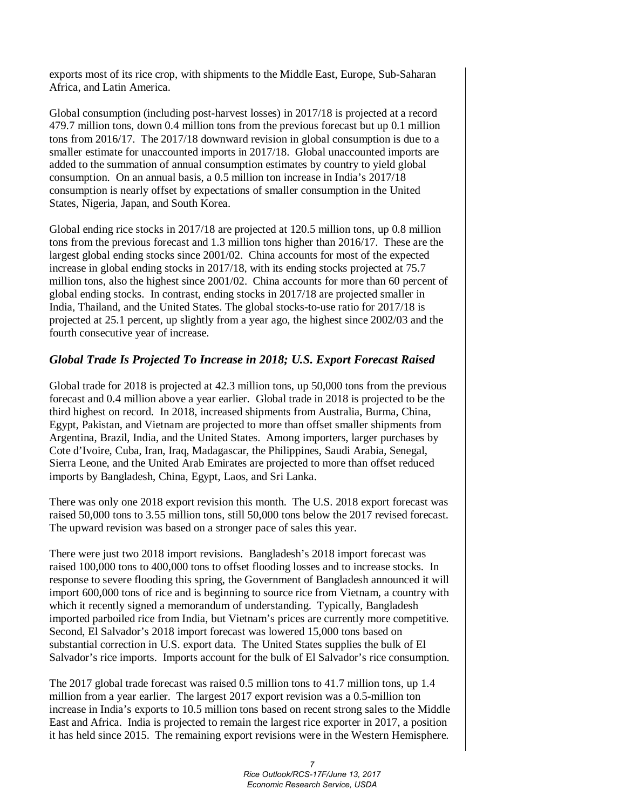exports most of its rice crop, with shipments to the Middle East, Europe, Sub-Saharan Africa, and Latin America.

Global consumption (including post-harvest losses) in 2017/18 is projected at a record 479.7 million tons, down 0.4 million tons from the previous forecast but up 0.1 million tons from 2016/17. The 2017/18 downward revision in global consumption is due to a smaller estimate for unaccounted imports in 2017/18. Global unaccounted imports are added to the summation of annual consumption estimates by country to yield global consumption. On an annual basis, a 0.5 million ton increase in India's 2017/18 consumption is nearly offset by expectations of smaller consumption in the United States, Nigeria, Japan, and South Korea.

Global ending rice stocks in 2017/18 are projected at 120.5 million tons, up 0.8 million tons from the previous forecast and 1.3 million tons higher than 2016/17. These are the largest global ending stocks since 2001/02. China accounts for most of the expected increase in global ending stocks in 2017/18, with its ending stocks projected at 75.7 million tons, also the highest since 2001/02. China accounts for more than 60 percent of global ending stocks. In contrast, ending stocks in 2017/18 are projected smaller in India, Thailand, and the United States. The global stocks-to-use ratio for 2017/18 is projected at 25.1 percent, up slightly from a year ago, the highest since 2002/03 and the fourth consecutive year of increase.

#### *Global Trade Is Projected To Increase in 2018; U.S. Export Forecast Raised*

Global trade for 2018 is projected at 42.3 million tons, up 50,000 tons from the previous forecast and 0.4 million above a year earlier. Global trade in 2018 is projected to be the third highest on record. In 2018, increased shipments from Australia, Burma, China, Egypt, Pakistan, and Vietnam are projected to more than offset smaller shipments from Argentina, Brazil, India, and the United States. Among importers, larger purchases by Cote d'Ivoire, Cuba, Iran, Iraq, Madagascar, the Philippines, Saudi Arabia, Senegal, Sierra Leone, and the United Arab Emirates are projected to more than offset reduced imports by Bangladesh, China, Egypt, Laos, and Sri Lanka.

There was only one 2018 export revision this month. The U.S. 2018 export forecast was raised 50,000 tons to 3.55 million tons, still 50,000 tons below the 2017 revised forecast. The upward revision was based on a stronger pace of sales this year.

There were just two 2018 import revisions. Bangladesh's 2018 import forecast was raised 100,000 tons to 400,000 tons to offset flooding losses and to increase stocks. In response to severe flooding this spring, the Government of Bangladesh announced it will import 600,000 tons of rice and is beginning to source rice from Vietnam, a country with which it recently signed a memorandum of understanding. Typically, Bangladesh imported parboiled rice from India, but Vietnam's prices are currently more competitive. Second, El Salvador's 2018 import forecast was lowered 15,000 tons based on substantial correction in U.S. export data. The United States supplies the bulk of El Salvador's rice imports. Imports account for the bulk of El Salvador's rice consumption.

The 2017 global trade forecast was raised 0.5 million tons to 41.7 million tons, up 1.4 million from a year earlier. The largest 2017 export revision was a 0.5-million ton increase in India's exports to 10.5 million tons based on recent strong sales to the Middle East and Africa. India is projected to remain the largest rice exporter in 2017, a position it has held since 2015. The remaining export revisions were in the Western Hemisphere.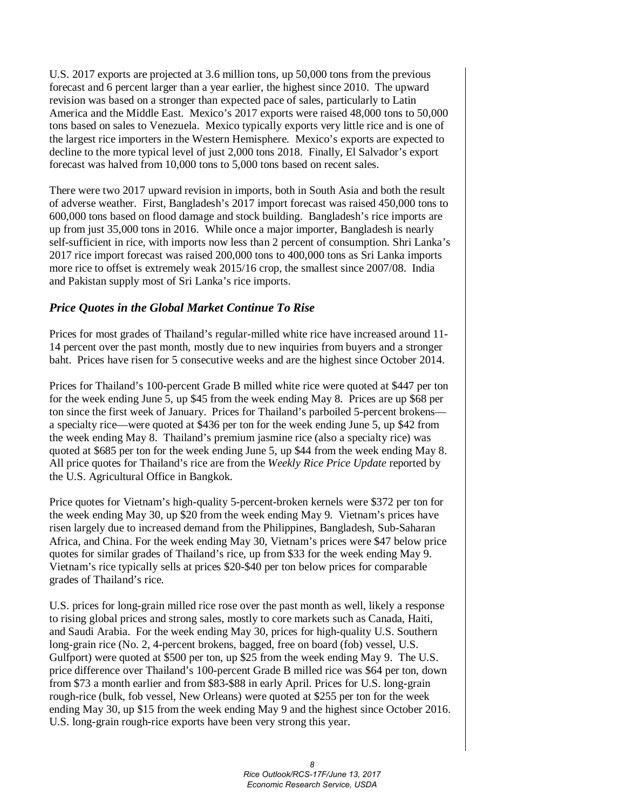U.S. 2017 exports are projected at 3.6 million tons, up 50,000 tons from the previous forecast and 6 percent larger than a year earlier, the highest since 2010. The upward revision was based on a stronger than expected pace of sales, particularly to Latin America and the Middle East. Mexico's 2017 exports were raised 48,000 tons to 50,000 tons based on sales to Venezuela. Mexico typically exports very little rice and is one of the largest rice importers in the Western Hemisphere. Mexico's exports are expected to decline to the more typical level of just 2,000 tons 2018. Finally, El Salvador's export forecast was halved from 10,000 tons to 5,000 tons based on recent sales.

There were two 2017 upward revision in imports, both in South Asia and both the result of adverse weather. First, Bangladesh's 2017 import forecast was raised 450,000 tons to 600,000 tons based on flood damage and stock building. Bangladesh's rice imports are up from just 35,000 tons in 2016. While once a major importer, Bangladesh is nearly self-sufficient in rice, with imports now less than 2 percent of consumption. Shri Lanka's 2017 rice import forecast was raised 200,000 tons to 400,000 tons as Sri Lanka imports more rice to offset is extremely weak 2015/16 crop, the smallest since 2007/08. India and Pakistan supply most of Sri Lanka's rice imports.

#### *Price Quotes in the Global Market Continue To Rise*

Prices for most grades of Thailand's regular-milled white rice have increased around 11- 14 percent over the past month, mostly due to new inquiries from buyers and a stronger baht. Prices have risen for 5 consecutive weeks and are the highest since October 2014.

Prices for Thailand's 100-percent Grade B milled white rice were quoted at \$447 per ton for the week ending June 5, up \$45 from the week ending May 8. Prices are up \$68 per ton since the first week of January. Prices for Thailand's parboiled 5-percent brokens a specialty rice—were quoted at \$436 per ton for the week ending June 5, up \$42 from the week ending May 8. Thailand's premium jasmine rice (also a specialty rice) was quoted at \$685 per ton for the week ending June 5, up \$44 from the week ending May 8. All price quotes for Thailand's rice are from the *Weekly Rice Price Update* reported by the U.S. Agricultural Office in Bangkok.

Price quotes for Vietnam's high-quality 5-percent-broken kernels were \$372 per ton for the week ending May 30, up \$20 from the week ending May 9. Vietnam's prices have risen largely due to increased demand from the Philippines, Bangladesh, Sub-Saharan Africa, and China. For the week ending May 30, Vietnam's prices were \$47 below price quotes for similar grades of Thailand's rice, up from \$33 for the week ending May 9. Vietnam's rice typically sells at prices \$20-\$40 per ton below prices for comparable grades of Thailand's rice.

U.S. prices for long-grain milled rice rose over the past month as well, likely a response to rising global prices and strong sales, mostly to core markets such as Canada, Haiti, and Saudi Arabia. For the week ending May 30, prices for high-quality U.S. Southern long-grain rice (No. 2, 4-percent brokens, bagged, free on board (fob) vessel, U.S. Gulfport) were quoted at \$500 per ton, up \$25 from the week ending May 9. The U.S. price difference over Thailand's 100-percent Grade B milled rice was \$64 per ton, down from \$73 a month earlier and from \$83-\$88 in early April. Prices for U.S. long-grain rough-rice (bulk, fob vessel, New Orleans) were quoted at \$255 per ton for the week ending May 30, up \$15 from the week ending May 9 and the highest since October 2016. U.S. long-grain rough-rice exports have been very strong this year.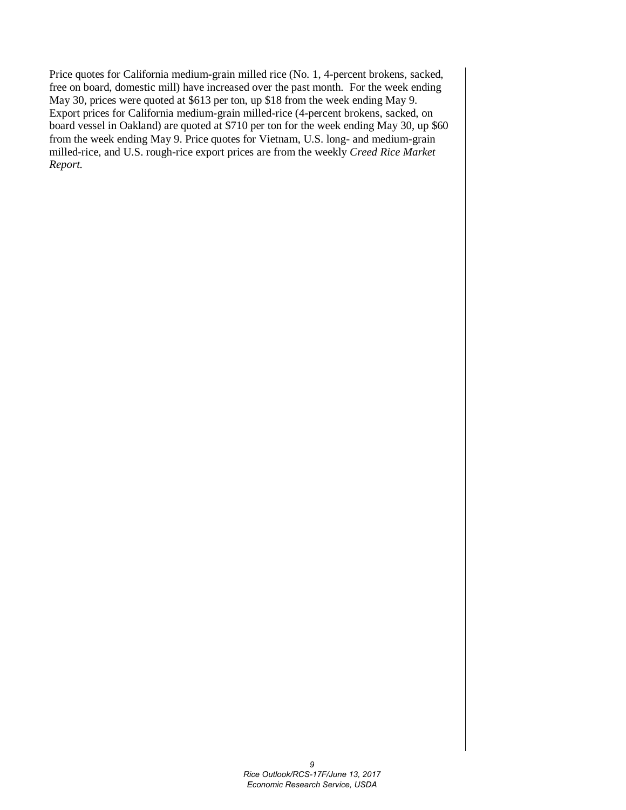Price quotes for California medium-grain milled rice (No. 1, 4-percent brokens, sacked, free on board, domestic mill) have increased over the past month. For the week ending May 30, prices were quoted at \$613 per ton, up \$18 from the week ending May 9. Export prices for California medium-grain milled-rice (4-percent brokens, sacked, on board vessel in Oakland) are quoted at \$710 per ton for the week ending May 30, up \$60 from the week ending May 9. Price quotes for Vietnam, U.S. long- and medium-grain milled-rice, and U.S. rough-rice export prices are from the weekly *Creed Rice Market Report.*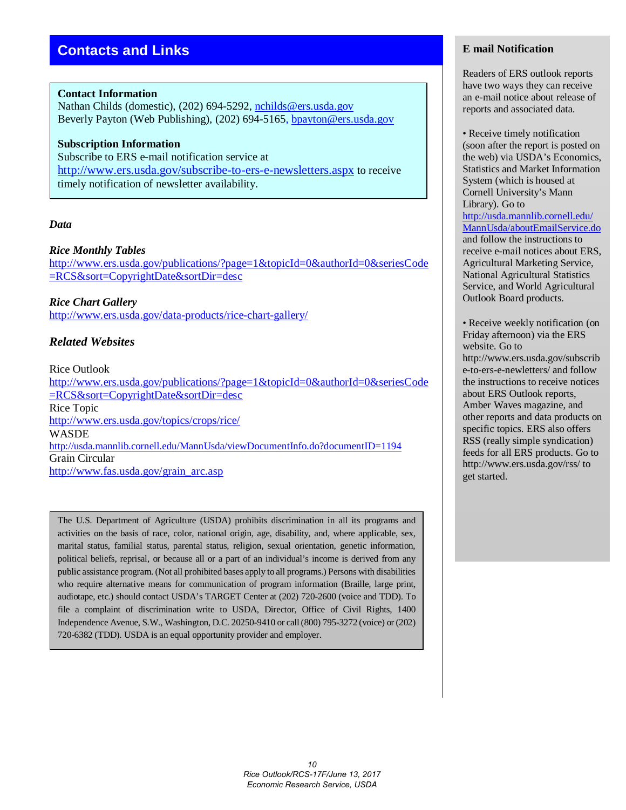#### **Contact Information**

Nathan Childs (domestic), (202) 694-5292, [nchilds@ers.usda.gov](mailto:nchilds@ers.usda.gov) Beverly Payton (Web Publishing), (202) 694-5165, [bpayton@ers.usda.gov](mailto:bpayton@ers.usda.gov)

#### **Subscription Information** Subscribe to ERS e-mail notification service at <http://www.ers.usda.gov/subscribe-to-ers-e-newsletters.aspx> to receive timely notification of newsletter availability.

#### *Data*

#### *Rice Monthly Tables*

[http://www.ers.usda.gov/publications/?page=1&topicId=0&authorId=0&seriesCode](http://www.ers.usda.gov/publications/?page=1&topicId=0&authorId=0&seriesCode=RCS&sort=CopyrightDate&sortDir=desc) [=RCS&sort=CopyrightDate&sortDir=desc](http://www.ers.usda.gov/publications/?page=1&topicId=0&authorId=0&seriesCode=RCS&sort=CopyrightDate&sortDir=desc)

*Rice Chart Gallery*  <http://www.ers.usda.gov/data-products/rice-chart-gallery/>

#### *Related Websites*

#### Rice Outlook

[http://www.ers.usda.gov/publications/?page=1&topicId=0&authorId=0&seriesCode](http://www.ers.usda.gov/publications/?page=1&topicId=0&authorId=0&seriesCode=RCS&sort=CopyrightDate&sortDir=desc) [=RCS&sort=CopyrightDate&sortDir=desc](http://www.ers.usda.gov/publications/?page=1&topicId=0&authorId=0&seriesCode=RCS&sort=CopyrightDate&sortDir=desc) Rice Topic <http://www.ers.usda.gov/topics/crops/rice/> WASDE <http://usda.mannlib.cornell.edu/MannUsda/viewDocumentInfo.do?documentID=1194> Grain Circular [http://www.fas.usda.gov/grain\\_arc.asp](http://www.fas.usda.gov/grain_arc.asp)

The U.S. Department of Agriculture (USDA) prohibits discrimination in all its programs and activities on the basis of race, color, national origin, age, disability, and, where applicable, sex, marital status, familial status, parental status, religion, sexual orientation, genetic information, political beliefs, reprisal, or because all or a part of an individual's income is derived from any public assistance program. (Not all prohibited bases apply to all programs.) Persons with disabilities who require alternative means for communication of program information (Braille, large print, audiotape, etc.) should contact USDA's TARGET Center at (202) 720-2600 (voice and TDD). To file a complaint of discrimination write to USDA, Director, Office of Civil Rights, 1400 Independence Avenue, S.W., Washington, D.C. 20250-9410 or call (800) 795-3272 (voice) or (202) 720-6382 (TDD). USDA is an equal opportunity provider and employer.

#### **E mail Notification**

Readers of ERS outlook reports have two ways they can receive an e-mail notice about release of reports and associated data.

• Receive timely notification (soon after the report is posted on the web) via USDA's Economics, Statistics and Market Information System (which is housed at Cornell University's Mann Library). Go to [http://usda.mannlib.cornell.edu/](http://usda.mannlib.cornell.edu/MannUsda/aboutEmailService.do) [MannUsda/aboutEmailService.do](http://usda.mannlib.cornell.edu/MannUsda/aboutEmailService.do) and follow the instructions to receive e-mail notices about ERS, Agricultural Marketing Service, National Agricultural Statistics Service, and World Agricultural Outlook Board products.

• Receive weekly notification (on Friday afternoon) via the ERS website. Go to http://www.ers.usda.gov/subscrib e-to-ers-e-newletters/ and follow the instructions to receive notices about ERS Outlook reports, Amber Waves magazine, and other reports and data products on specific topics. ERS also offers RSS (really simple syndication) feeds for all ERS products. Go to http://www.ers.usda.gov/rss/ to get started.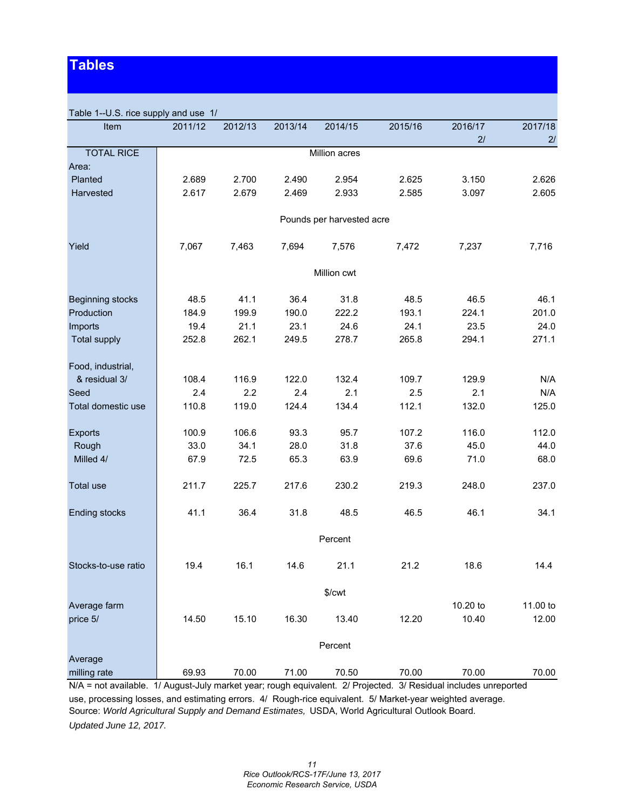## **Tables**

| Table 1--U.S. rice supply and use 1/ |         |         |         |                           |         |          |               |
|--------------------------------------|---------|---------|---------|---------------------------|---------|----------|---------------|
| Item                                 | 2011/12 | 2012/13 | 2013/14 | 2014/15                   | 2015/16 | 2016/17  | 2017/18       |
|                                      |         |         |         |                           |         | 2/       | 2/            |
| <b>TOTAL RICE</b>                    |         |         |         | Million acres             |         |          |               |
| Area:                                |         |         |         |                           |         |          |               |
| Planted                              | 2.689   | 2.700   | 2.490   | 2.954                     | 2.625   | 3.150    | 2.626         |
| Harvested                            | 2.617   | 2.679   | 2.469   | 2.933                     | 2.585   | 3.097    | 2.605         |
|                                      |         |         |         | Pounds per harvested acre |         |          |               |
| Yield                                | 7,067   | 7,463   | 7,694   | 7,576                     | 7,472   | 7,237    | 7,716         |
|                                      |         |         |         | Million cwt               |         |          |               |
|                                      |         |         |         |                           |         |          |               |
| <b>Beginning stocks</b>              | 48.5    | 41.1    | 36.4    | 31.8                      | 48.5    | 46.5     | 46.1<br>201.0 |
| Production                           | 184.9   | 199.9   | 190.0   | 222.2                     | 193.1   | 224.1    |               |
| Imports                              | 19.4    | 21.1    | 23.1    | 24.6                      | 24.1    | 23.5     | 24.0          |
| <b>Total supply</b>                  | 252.8   | 262.1   | 249.5   | 278.7                     | 265.8   | 294.1    | 271.1         |
| Food, industrial,                    |         |         |         |                           |         |          |               |
| & residual 3/                        | 108.4   | 116.9   | 122.0   | 132.4                     | 109.7   | 129.9    | N/A           |
| Seed                                 | 2.4     | 2.2     | 2.4     | 2.1                       | 2.5     | 2.1      | N/A           |
| Total domestic use                   | 110.8   | 119.0   | 124.4   | 134.4                     | 112.1   | 132.0    | 125.0         |
|                                      |         |         |         |                           |         |          |               |
| <b>Exports</b>                       | 100.9   | 106.6   | 93.3    | 95.7                      | 107.2   | 116.0    | 112.0         |
| Rough                                | 33.0    | 34.1    | 28.0    | 31.8                      | 37.6    | 45.0     | 44.0          |
| Milled 4/                            | 67.9    | 72.5    | 65.3    | 63.9                      | 69.6    | 71.0     | 68.0          |
| Total use                            | 211.7   | 225.7   | 217.6   | 230.2                     | 219.3   | 248.0    | 237.0         |
| <b>Ending stocks</b>                 | 41.1    | 36.4    | 31.8    | 48.5                      | 46.5    | 46.1     | 34.1          |
|                                      |         |         |         | Percent                   |         |          |               |
| Stocks-to-use ratio                  | 19.4    | 16.1    | 14.6    | 21.1                      | 21.2    | 18.6     | 14.4          |
|                                      |         |         |         | $%$ / $cwt$               |         |          |               |
| Average farm                         |         |         |         |                           |         | 10.20 to | 11.00 to      |
| price 5/                             | 14.50   | 15.10   | 16.30   | 13.40                     | 12.20   | 10.40    | 12.00         |
|                                      |         |         |         |                           |         |          |               |
|                                      |         |         |         | Percent                   |         |          |               |
| Average                              |         |         |         |                           |         |          |               |
| milling rate                         | 69.93   | 70.00   | 71.00   | 70.50                     | 70.00   | 70.00    | 70.00         |

N/A = not available. 1/ August-July market year; rough equivalent. 2/ Projected. 3/ Residual includes unreported

use, processing losses, and estimating errors. 4/ Rough-rice equivalent. 5/ Market-year weighted average. Source: *World Agricultural Supply and Demand Estimates,* USDA, World Agricultural Outlook Board. *Updated June 12, 2017.*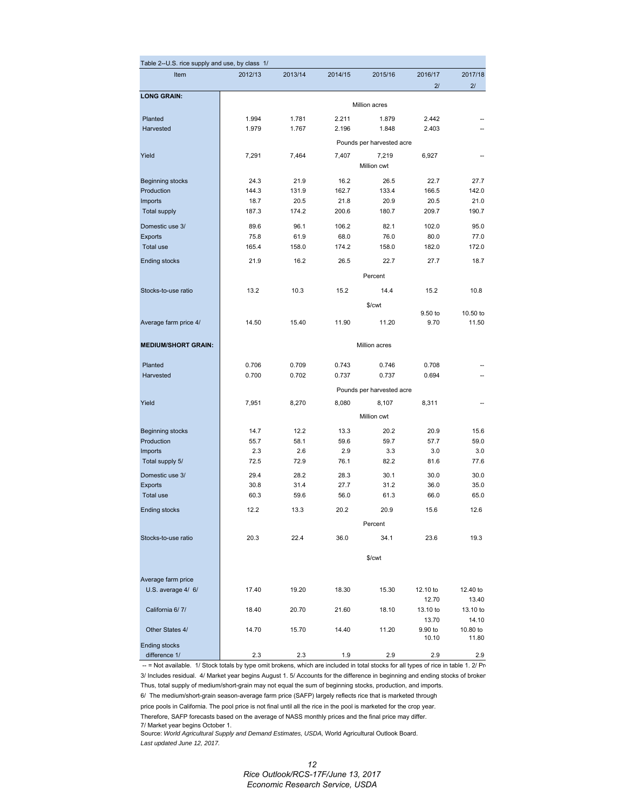| Table 2--U.S. rice supply and use, by class 1/ |         |         |         |                           |                  |                   |
|------------------------------------------------|---------|---------|---------|---------------------------|------------------|-------------------|
| Item                                           | 2012/13 | 2013/14 | 2014/15 | 2015/16                   | 2016/17<br>21    | 2017/18<br>21     |
| <b>LONG GRAIN:</b>                             |         |         |         | Million acres             |                  |                   |
| Planted                                        | 1.994   | 1.781   | 2.211   | 1.879                     | 2.442            |                   |
| Harvested                                      | 1.979   | 1.767   | 2.196   | 1.848                     | 2.403            |                   |
|                                                |         |         |         | Pounds per harvested acre |                  |                   |
| Yield                                          | 7,291   | 7,464   | 7,407   | 7,219                     | 6,927            |                   |
|                                                |         |         |         | Million cwt               |                  |                   |
| Beginning stocks                               | 24.3    | 21.9    | 16.2    | 26.5                      | 22.7             | 27.7              |
| Production                                     | 144.3   | 131.9   | 162.7   | 133.4                     | 166.5            | 142.0             |
| Imports                                        | 18.7    | 20.5    | 21.8    | 20.9                      | 20.5             | 21.0              |
| <b>Total supply</b>                            | 187.3   | 174.2   | 200.6   | 180.7                     | 209.7            | 190.7             |
| Domestic use 3/                                | 89.6    | 96.1    | 106.2   | 82.1                      | 102.0            | 95.0              |
| <b>Exports</b>                                 | 75.8    | 61.9    | 68.0    | 76.0                      | 80.0             | 77.0              |
| Total use                                      | 165.4   | 158.0   | 174.2   | 158.0                     | 182.0            | 172.0             |
| <b>Ending stocks</b>                           | 21.9    | 16.2    | 26.5    | 22.7                      | 27.7             | 18.7              |
|                                                |         |         |         | Percent                   |                  |                   |
| Stocks-to-use ratio                            | 13.2    | 10.3    | 15.2    | 14.4                      | 15.2             | 10.8              |
|                                                |         |         |         | \$/cwt                    |                  |                   |
|                                                |         |         |         |                           | 9.50 to          | 10.50 to          |
| Average farm price 4/                          | 14.50   | 15.40   | 11.90   | 11.20                     | 9.70             | 11.50             |
| <b>MEDIUM/SHORT GRAIN:</b>                     |         |         |         | <b>Million acres</b>      |                  |                   |
|                                                |         |         |         |                           |                  |                   |
| Planted                                        | 0.706   | 0.709   | 0.743   | 0.746                     | 0.708            |                   |
| Harvested                                      | 0.700   | 0.702   | 0.737   | 0.737                     | 0.694            |                   |
|                                                |         |         |         | Pounds per harvested acre |                  |                   |
| Yield                                          | 7,951   | 8,270   | 8,080   | 8,107                     | 8,311            |                   |
|                                                |         |         |         | Million cwt               |                  |                   |
| <b>Beginning stocks</b>                        | 14.7    | 12.2    | 13.3    | 20.2                      | 20.9             | 15.6              |
| Production                                     | 55.7    | 58.1    | 59.6    | 59.7                      | 57.7             | 59.0              |
| Imports                                        | 2.3     | 2.6     | 2.9     | 3.3                       | 3.0              | 3.0               |
| Total supply 5/                                | 72.5    | 72.9    | 76.1    | 82.2                      | 81.6             | 77.6              |
| Domestic use 3/                                | 29.4    | 28.2    | 28.3    | 30.1                      | 30.0             | 30.0              |
| Exports                                        | 30.8    | 31.4    | 27.7    | 31.2                      | 36.0             | 35.0              |
| Total use                                      | 60.3    | 59.6    | 56.0    | 61.3                      | 66.0             | 65.0              |
| <b>Ending stocks</b>                           | 12.2    | 13.3    | 20.2    | 20.9                      | 15.6             | 12.6              |
|                                                |         |         |         | Percent                   |                  |                   |
| Stocks-to-use ratio                            | 20.3    | 22.4    | 36.0    | 34.1                      | 23.6             | 19.3              |
|                                                |         |         |         | \$/cwt                    |                  |                   |
|                                                |         |         |         |                           |                  |                   |
| Average farm price                             |         |         |         |                           |                  |                   |
| U.S. average 4/ 6/                             | 17.40   | 19.20   | 18.30   | 15.30                     | 12.10 to         | 12.40 to          |
|                                                |         |         |         |                           | 12.70            | 13.40             |
| California 6/7/                                | 18.40   | 20.70   | 21.60   | 18.10                     | 13.10 to         | 13.10 to          |
| Other States 4/                                | 14.70   | 15.70   | 14.40   | 11.20                     | 13.70<br>9.90 to | 14.10<br>10.80 to |
|                                                |         |         |         |                           | 10.10            | 11.80             |
| <b>Ending stocks</b>                           |         |         |         |                           |                  |                   |
| difference 1/                                  | 2.3     | 2.3     | 1.9     | 2.9                       | 2.9              | 2.9               |

-- = Not available. 1/ Stock totals by type omit brokens, which are included in total stocks for all types of rice in table 1. 2/ Pro 3/ Includes residual. 4/ Market year begins August 1. 5/ Accounts for the difference in beginning and ending stocks of broken Thus, total supply of medium/short-grain may not equal the sum of beginning stocks, production, and imports.

6/ The medium/short-grain season-average farm price (SAFP) largely reflects rice that is marketed through

price pools in California. The pool price is not final until all the rice in the pool is marketed for the crop year. Therefore, SAFP forecasts based on the average of NASS monthly prices and the final price may differ. 7/ Market year begins October 1.

Source: *World Agricultural Supply and Demand Estimates, USDA,* World Agricultural Outlook Board. *Last updated June 12, 2017.*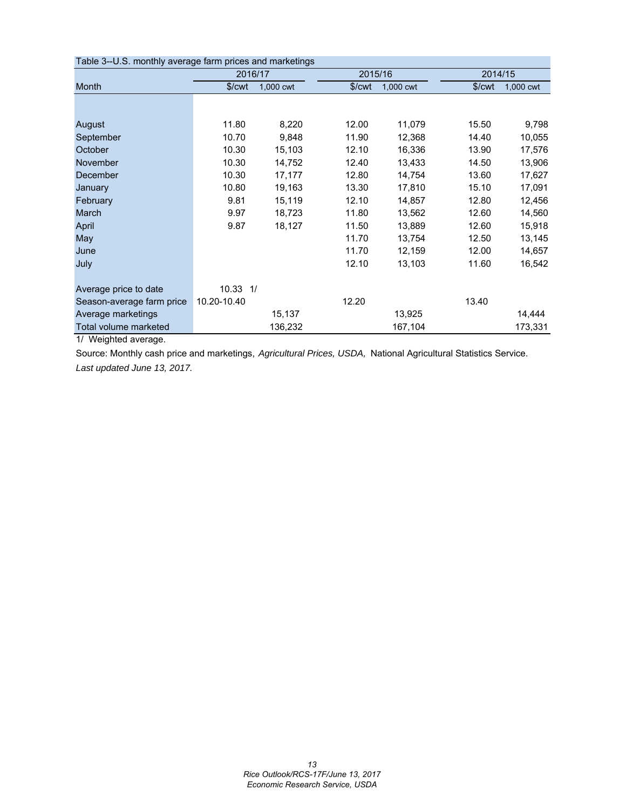| Table 3--U.S. monthly average farm prices and marketings |                    |           |                    |           |                    |           |
|----------------------------------------------------------|--------------------|-----------|--------------------|-----------|--------------------|-----------|
|                                                          | 2016/17            |           | 2015/16            |           | 2014/15            |           |
| Month                                                    | \$/ <sub>cut</sub> | 1,000 cwt | \$/ <sub>cut</sub> | 1,000 cwt | \$/ <sub>cut</sub> | 1,000 cwt |
|                                                          |                    |           |                    |           |                    |           |
| August                                                   | 11.80              | 8,220     | 12.00              | 11,079    | 15.50              | 9,798     |
| September                                                | 10.70              | 9,848     | 11.90              | 12,368    | 14.40              | 10,055    |
| October                                                  | 10.30              | 15,103    | 12.10              | 16,336    | 13.90              | 17,576    |
| November                                                 | 10.30              | 14,752    | 12.40              | 13,433    | 14.50              | 13,906    |
| December                                                 | 10.30              | 17,177    | 12.80              | 14,754    | 13.60              | 17,627    |
| January                                                  | 10.80              | 19,163    | 13.30              | 17,810    | 15.10              | 17,091    |
| February                                                 | 9.81               | 15,119    | 12.10              | 14,857    | 12.80              | 12,456    |
| March                                                    | 9.97               | 18,723    | 11.80              | 13,562    | 12.60              | 14,560    |
| April                                                    | 9.87               | 18,127    | 11.50              | 13,889    | 12.60              | 15,918    |
| May                                                      |                    |           | 11.70              | 13,754    | 12.50              | 13,145    |
| June                                                     |                    |           | 11.70              | 12,159    | 12.00              | 14,657    |
| July                                                     |                    |           | 12.10              | 13,103    | 11.60              | 16,542    |
| Average price to date                                    | $10.33$ $1/$       |           |                    |           |                    |           |
| Season-average farm price                                | 10.20-10.40        |           | 12.20              |           | 13.40              |           |
| Average marketings                                       |                    | 15,137    |                    | 13,925    |                    | 14,444    |
| Total volume marketed                                    |                    | 136,232   |                    | 167,104   |                    | 173,331   |

1/ Weighted average.

Source: Monthly cash price and marketings, *Agricultural Prices, USDA,* National Agricultural Statistics Service. *Last updated June 13, 2017.*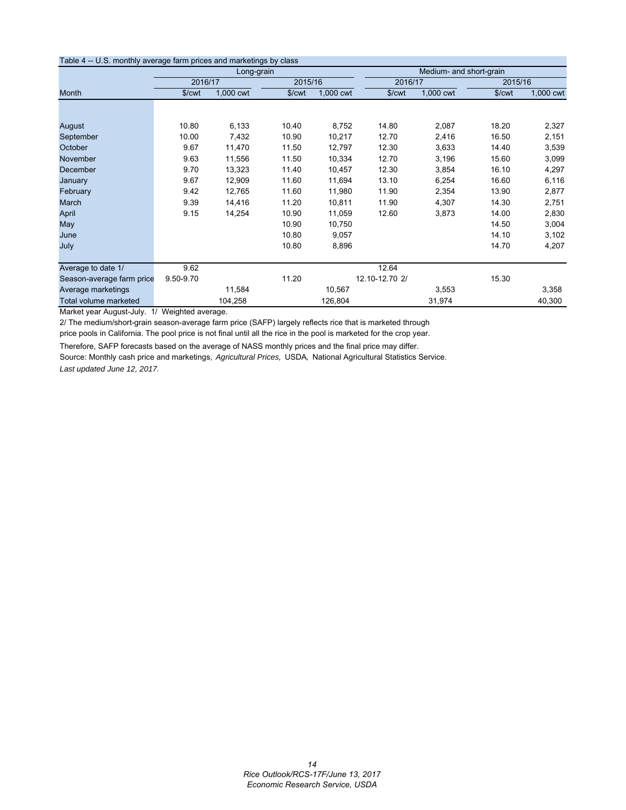| Table 4 -- U.S. monthly average farm prices and marketings by class |                    |            |         |           |                    |                         |                    |           |
|---------------------------------------------------------------------|--------------------|------------|---------|-----------|--------------------|-------------------------|--------------------|-----------|
|                                                                     |                    | Long-grain |         |           |                    | Medium- and short-grain |                    |           |
|                                                                     | 2016/17            |            | 2015/16 |           | 2016/17            |                         | 2015/16            |           |
| Month                                                               | \$/ <sub>cut</sub> | 1,000 cwt  | \$/cwt  | 1,000 cwt | \$/ <sub>cut</sub> | 1,000 cwt               | \$/ <sub>cut</sub> | 1,000 cwt |
|                                                                     |                    |            |         |           |                    |                         |                    |           |
|                                                                     |                    |            |         |           |                    |                         |                    |           |
| August                                                              | 10.80              | 6,133      | 10.40   | 8,752     | 14.80              | 2,087                   | 18.20              | 2,327     |
| September                                                           | 10.00              | 7,432      | 10.90   | 10,217    | 12.70              | 2,416                   | 16.50              | 2,151     |
| October                                                             | 9.67               | 11,470     | 11.50   | 12,797    | 12.30              | 3,633                   | 14.40              | 3,539     |
| November                                                            | 9.63               | 11,556     | 11.50   | 10,334    | 12.70              | 3,196                   | 15.60              | 3,099     |
| <b>December</b>                                                     | 9.70               | 13,323     | 11.40   | 10,457    | 12.30              | 3,854                   | 16.10              | 4,297     |
| January                                                             | 9.67               | 12,909     | 11.60   | 11,694    | 13.10              | 6,254                   | 16.60              | 6,116     |
| February                                                            | 9.42               | 12,765     | 11.60   | 11,980    | 11.90              | 2,354                   | 13.90              | 2,877     |
| March                                                               | 9.39               | 14,416     | 11.20   | 10,811    | 11.90              | 4,307                   | 14.30              | 2,751     |
| April                                                               | 9.15               | 14,254     | 10.90   | 11,059    | 12.60              | 3,873                   | 14.00              | 2,830     |
| May                                                                 |                    |            | 10.90   | 10,750    |                    |                         | 14.50              | 3,004     |
| June                                                                |                    |            | 10.80   | 9,057     |                    |                         | 14.10              | 3,102     |
| July                                                                |                    |            | 10.80   | 8,896     |                    |                         | 14.70              | 4,207     |
|                                                                     |                    |            |         |           |                    |                         |                    |           |
| Average to date 1/                                                  | 9.62               |            |         |           | 12.64              |                         |                    |           |
| Season-average farm price                                           | 9.50-9.70          |            | 11.20   |           | 12.10-12.70 2/     |                         | 15.30              |           |
| Average marketings                                                  |                    | 11,584     |         | 10,567    |                    | 3,553                   |                    | 3,358     |
| Total volume marketed                                               |                    | 104,258    |         | 126,804   |                    | 31,974                  |                    | 40,300    |

Market year August-July. 1/ Weighted average.

2/ The medium/short-grain season-average farm price (SAFP) largely reflects rice that is marketed through

price pools in California. The pool price is not final until all the rice in the pool is marketed for the crop year.

Therefore, SAFP forecasts based on the average of NASS monthly prices and the final price may differ. Source: Monthly cash price and marketings, *Agricultural Prices,* USDA*,* National Agricultural Statistics Service. *Last updated June 12, 2017.*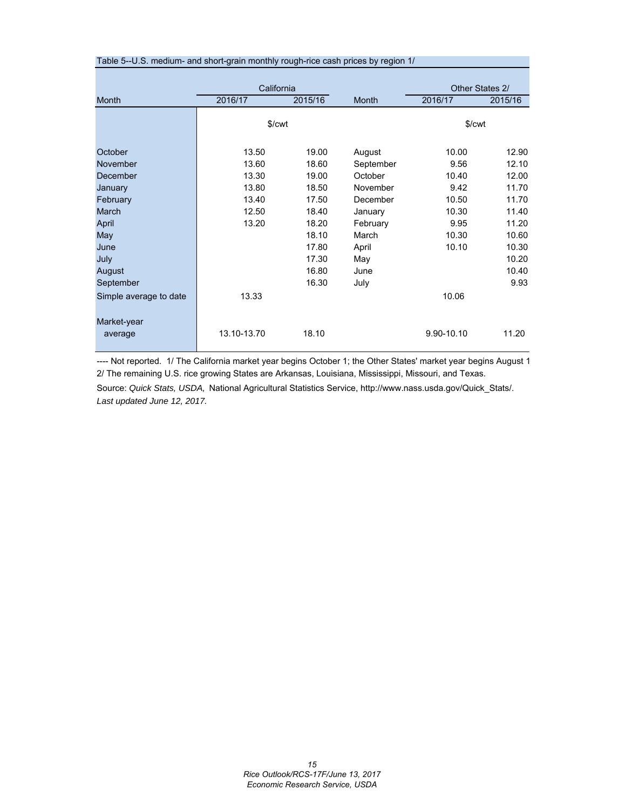| Table 5--U.S. medium- and short-grain monthly rough-rice cash prices by region 1/ |                    |         |           |                    |                 |
|-----------------------------------------------------------------------------------|--------------------|---------|-----------|--------------------|-----------------|
|                                                                                   |                    |         |           |                    |                 |
|                                                                                   | California         |         |           |                    | Other States 2/ |
| <b>Month</b>                                                                      | 2016/17            | 2015/16 | Month     | 2016/17            | 2015/16         |
|                                                                                   |                    |         |           |                    |                 |
|                                                                                   | \$/ <sub>cut</sub> |         |           | \$/ <sub>cut</sub> |                 |
| October                                                                           | 13.50              | 19.00   | August    | 10.00              | 12.90           |
| November                                                                          | 13.60              | 18.60   | September | 9.56               | 12.10           |
| December                                                                          | 13.30              | 19.00   | October   | 10.40              | 12.00           |
| January                                                                           | 13.80              | 18.50   | November  | 9.42               | 11.70           |
| February                                                                          | 13.40              | 17.50   | December  | 10.50              | 11.70           |
| March                                                                             | 12.50              | 18.40   | January   | 10.30              | 11.40           |
| April                                                                             | 13.20              | 18.20   | February  | 9.95               | 11.20           |
| May                                                                               |                    | 18.10   | March     | 10.30              | 10.60           |
| June                                                                              |                    | 17.80   | April     | 10.10              | 10.30           |
| July                                                                              |                    | 17.30   | May       |                    | 10.20           |
| August                                                                            |                    | 16.80   | June      |                    | 10.40           |
| September                                                                         |                    | 16.30   | July      |                    | 9.93            |
| Simple average to date                                                            | 13.33              |         |           | 10.06              |                 |
| Market-year                                                                       |                    |         |           |                    |                 |
| average                                                                           | 13.10-13.70        | 18.10   |           | 9.90-10.10         | 11.20           |

---- Not reported. 1/ The California market year begins October 1; the Other States' market year begins August 1 2/ The remaining U.S. rice growing States are Arkansas, Louisiana, Mississippi, Missouri, and Texas.

Source: *Quick Stats, USDA,* National Agricultural Statistics Service, http://www.nass.usda.gov/Quick\_Stats/. *Last updated June 12, 2017.*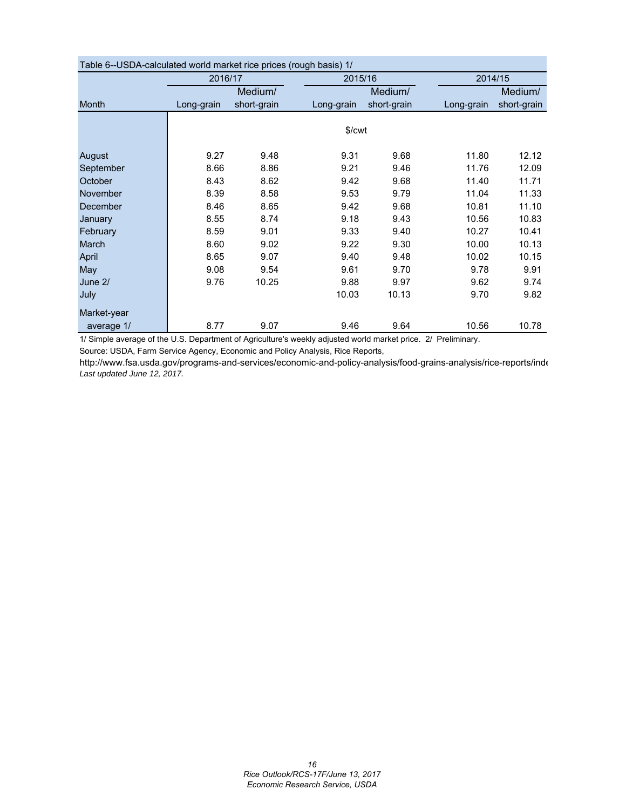| Table 6--OSDA-calculated world market rice prices (rough basis) T/ |            |             |                    |             |            |             |  |  |  |  |  |
|--------------------------------------------------------------------|------------|-------------|--------------------|-------------|------------|-------------|--|--|--|--|--|
|                                                                    | 2016/17    |             | 2015/16            |             |            | 2014/15     |  |  |  |  |  |
|                                                                    |            | Medium/     |                    | Medium/     |            | Medium/     |  |  |  |  |  |
| <b>Month</b>                                                       | Long-grain | short-grain | Long-grain         | short-grain | Long-grain | short-grain |  |  |  |  |  |
|                                                                    |            |             |                    |             |            |             |  |  |  |  |  |
|                                                                    |            |             | \$/ <sub>cut</sub> |             |            |             |  |  |  |  |  |
|                                                                    |            |             |                    |             |            |             |  |  |  |  |  |
| August                                                             | 9.27       | 9.48        | 9.31               | 9.68        | 11.80      | 12.12       |  |  |  |  |  |
| September                                                          | 8.66       | 8.86        | 9.21               | 9.46        | 11.76      | 12.09       |  |  |  |  |  |
| October                                                            | 8.43       | 8.62        | 9.42               | 9.68        | 11.40      | 11.71       |  |  |  |  |  |
| <b>November</b>                                                    | 8.39       | 8.58        | 9.53               | 9.79        | 11.04      | 11.33       |  |  |  |  |  |
| December                                                           | 8.46       | 8.65        | 9.42               | 9.68        | 10.81      | 11.10       |  |  |  |  |  |
| January                                                            | 8.55       | 8.74        | 9.18               | 9.43        | 10.56      | 10.83       |  |  |  |  |  |
| February                                                           | 8.59       | 9.01        | 9.33               | 9.40        | 10.27      | 10.41       |  |  |  |  |  |
| March                                                              | 8.60       | 9.02        | 9.22               | 9.30        | 10.00      | 10.13       |  |  |  |  |  |
| April                                                              | 8.65       | 9.07        | 9.40               | 9.48        | 10.02      | 10.15       |  |  |  |  |  |
| May                                                                | 9.08       | 9.54        | 9.61               | 9.70        | 9.78       | 9.91        |  |  |  |  |  |
| June 2/                                                            | 9.76       | 10.25       | 9.88               | 9.97        | 9.62       | 9.74        |  |  |  |  |  |
| July                                                               |            |             | 10.03              | 10.13       | 9.70       | 9.82        |  |  |  |  |  |
| Market-year                                                        |            |             |                    |             |            |             |  |  |  |  |  |
| average 1/                                                         | 8.77       | 9.07        | 9.46               | 9.64        | 10.56      | 10.78       |  |  |  |  |  |
|                                                                    |            |             |                    |             |            |             |  |  |  |  |  |

| Table 6--USDA-calculated world market rice prices (rough basis) 1/ |  |  |
|--------------------------------------------------------------------|--|--|
|                                                                    |  |  |

1/ Simple average of the U.S. Department of Agriculture's weekly adjusted world market price. 2/ Preliminary.

Source: USDA, Farm Service Agency, Economic and Policy Analysis, Rice Reports,

http://www.fsa.usda.gov/programs-and-services/economic-and-policy-analysis/food-grains-analysis/rice-reports/inde *Last updated June 12, 2017.*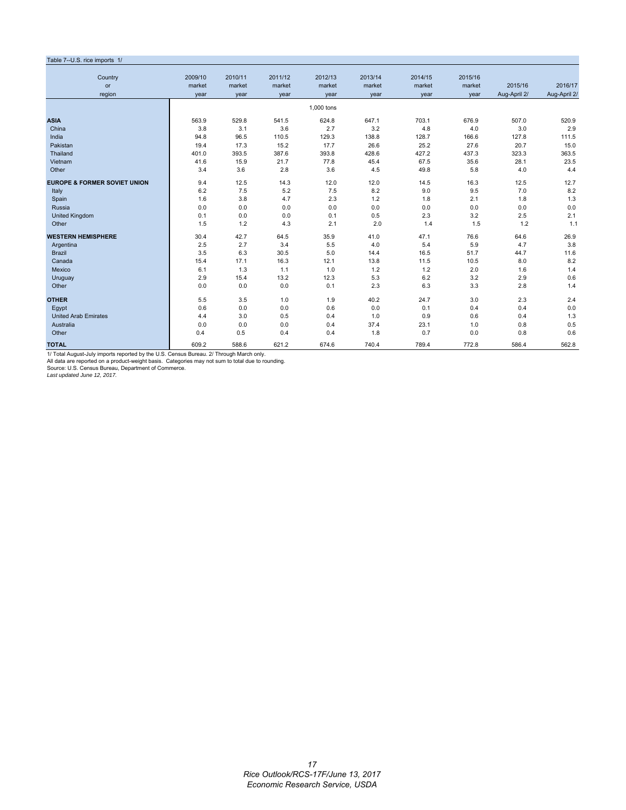#### Table 7--U.S. rice imports 1/ Country 2009/10 2010/11 2011/12 2012/13 2013/14 2014/15 2015/16 or market market market market market market market 2015/16 2016/17 region year year year year year year year Aug-April 2/ Aug-April 2/ 1,000 tons **ASIA** 563.9 529.8 541.5 624.8 647.1 703.1 676.9 507.0 520.9 China 3.8 3.1 3.6 2.7 3.2 4.8 4.0 3.0 2.9 India 94.8 96.5 110.5 129.3 138.8 128.7 166.6 127.8 111.5 Pakistan 19.4 17.3 15.2 17.7 26.6 25.2 27.6 20.7 15.0 Thailand 401.0 393.5 387.6 393.8 428.6 427.2 437.3 323.3 363.5 Vietnam 41.6 15.9 21.7 77.8 45.4 67.5 35.6 28.1 23.5 Other 3.4 3.6 2.8 3.6 4.5 49.8 5.8 4.0 4.4 **EUROPE & FORMER SOVIET UNION** 9.4 12.5 14.3 12.0 12.0 14.5 16.3 12.5 12.7 Italy 6.2 7.5 5.2 7.5 8.2 9.0 9.5 7.0 8.2 Spain 1.6 1.6 3.8 4.7 2.3 1.2 1.8 2.1 1.8 1.3 Russia 0.0 0.0 0.0 0.0 0.0 0.0 0.0 0.0 0.0 United Kingdom 0.1 0.0 0.0 0.1 0.5 2.3 3.2 2.5 2.1 Other 1.5 1.2 4.3 2.1 2.0 1.4 1.5 1.2 1.1 **WESTERN HEMISPHERE** 30.4 42.7 64.5 35.9 41.0 47.1 76.6 64.6 26.9 Argentina 2.5 2.7 3.4 5.5 4.0 5.4 5.9 4.7 3.8 Brazil 3.5 6.3 30.5 5.0 14.4 16.5 51.7 44.7 11.6 Canada 15.4 17.1 16.3 12.1 13.8 11.5 10.5 8.0 8.2 Mexico 6.1 1.3 1.1 1.0 1.2 1.2 2.0 1.6 1.4 Uruguay 2.9 15.4 13.2 12.3 5.3 6.2 3.2 2.9 0.6 Other 2.8 1.4 0.0 0.0 0.0 0.0 0.1 2.3 6.3 3.3 2.8 1.4 **OTHER** 5.5 3.5 1.0 1.9 40.2 24.7 3.0 2.3 2.4 Egypt 0.6 0.0 0.0 0.6 0.0 0.1 0.4 0.4 0.0 United Arab Emirates 1.3<br>
United Arab Emirates 1.3<br>
Australia 1.0 0.6 0.4 1.3<br>
Australia 1.0 0.8 0.5 0.5 0.4 37.4 23.1 1.0 0.8 0.5 Australia 0.0 0.0 0.0 0.4 37.4 23.1 1.0 0.8 0.5 Other 0.4 0.5 0.4 0.4 1.8 0.7 0.0 0.8 0.6 **TOTAL** 609.2 588.6 621.2 674.6 740.4 789.4 772.8 586.4 562.8

1/ Total August-July imports reported by the U.S. Census Bureau. 2/ Through March only.

All data are reported on a product-weight basis. Categories may not sum to total due to rounding. Source: U.S. Census Bureau, Department of Commerce.

*Last updated June 12, 2017.*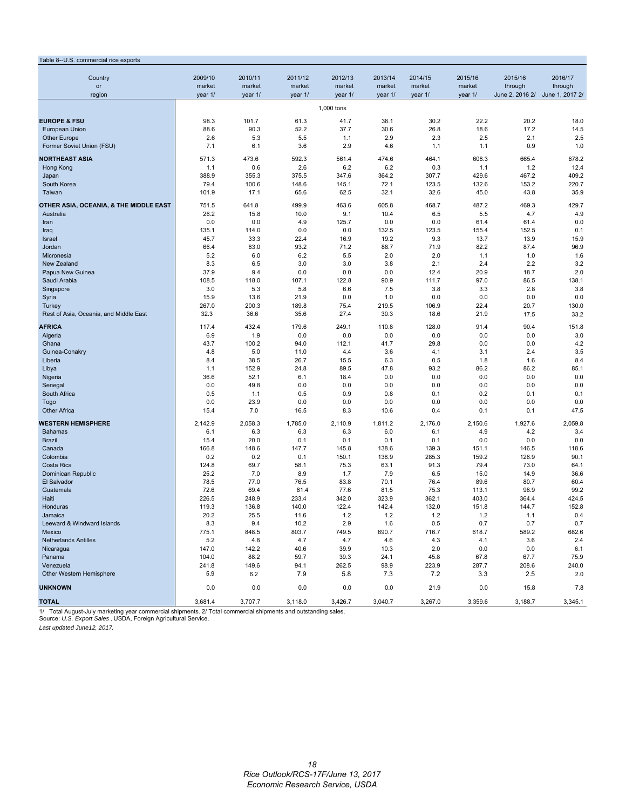| Table 8--U.S. commercial rice exports  |                   |                   |                   |                   |                   |                   |                   |                                 |                    |
|----------------------------------------|-------------------|-------------------|-------------------|-------------------|-------------------|-------------------|-------------------|---------------------------------|--------------------|
|                                        |                   |                   |                   |                   |                   |                   |                   |                                 |                    |
| Country<br>or                          | 2009/10<br>market | 2010/11<br>market | 2011/12<br>market | 2012/13<br>market | 2013/14<br>market | 2014/15<br>market | 2015/16<br>market | 2015/16<br>through              | 2016/17<br>through |
| region                                 | year 1/           | year 1/           | year 1/           | year 1/           | year 1/           | year 1/           | year 1/           | June 2, 2016 2/ June 1, 2017 2/ |                    |
|                                        |                   |                   |                   |                   |                   |                   |                   |                                 |                    |
|                                        |                   |                   |                   | 1,000 tons        |                   |                   |                   |                                 |                    |
| <b>EUROPE &amp; FSU</b>                | 98.3              | 101.7             | 61.3              | 41.7              | 38.1              | 30.2              | 22.2              | 20.2                            | 18.0               |
| European Union                         | 88.6              | 90.3              | 52.2              | 37.7              | 30.6              | 26.8              | 18.6              | 17.2                            | 14.5               |
| <b>Other Europe</b>                    | 2.6<br>7.1        | 5.3<br>6.1        | 5.5               | 1.1<br>2.9        | 2.9<br>4.6        | 2.3<br>1.1        | 2.5<br>1.1        | 2.1<br>0.9                      | 2.5<br>1.0         |
| Former Soviet Union (FSU)              |                   |                   | 3.6               |                   |                   |                   |                   |                                 |                    |
| <b>NORTHEAST ASIA</b>                  | 571.3             | 473.6             | 592.3             | 561.4             | 474.6             | 464.1             | 608.3             | 665.4                           | 678.2              |
| Hong Kong                              | 1.1               | 0.6               | 2.6               | 6.2               | 6.2               | 0.3               | 1.1               | 1.2                             | 12.4               |
| Japan                                  | 388.9             | 355.3             | 375.5             | 347.6             | 364.2             | 307.7             | 429.6             | 467.2                           | 409.2              |
| South Korea                            | 79.4              | 100.6             | 148.6             | 145.1             | 72.1              | 123.5             | 132.6             | 153.2                           | 220.7              |
| Taiwan                                 | 101.9             | 17.1              | 65.6              | 62.5              | 32.1              | 32.6              | 45.0              | 43.8                            | 35.9               |
| OTHER ASIA, OCEANIA, & THE MIDDLE EAST | 751.5             | 641.8             | 499.9             | 463.6             | 605.8             | 468.7             | 487.2             | 469.3                           | 429.7              |
| Australia                              | 26.2              | 15.8              | 10.0              | 9.1               | 10.4              | 6.5               | 5.5               | 4.7                             | 4.9                |
| Iran                                   | 0.0               | 0.0               | 4.9               | 125.7             | 0.0               | 0.0               | 61.4              | 61.4                            | 0.0                |
| Iraq                                   | 135.1             | 114.0             | 0.0               | 0.0               | 132.5             | 123.5             | 155.4             | 152.5                           | 0.1                |
| Israel                                 | 45.7              | 33.3              | 22.4              | 16.9              | 19.2              | 9.3               | 13.7              | 13.9                            | 15.9               |
| Jordan                                 | 66.4              | 83.0              | 93.2              | 71.2              | 88.7              | 71.9              | 82.2              | 87.4                            | 96.9               |
| Micronesia                             | 5.2               | 6.0               | 6.2               | 5.5               | 2.0               | 2.0               | 1.1               | 1.0                             | 1.6                |
| New Zealand                            | 8.3               | 6.5               | 3.0               | 3.0               | 3.8               | 2.1               | 2.4               | 2.2                             | 3.2                |
| Papua New Guinea<br>Saudi Arabia       | 37.9<br>108.5     | 9.4<br>118.0      | 0.0<br>107.1      | 0.0<br>122.8      | 0.0<br>90.9       | 12.4<br>111.7     | 20.9<br>97.0      | 18.7<br>86.5                    | 2.0<br>138.1       |
| Singapore                              | 3.0               | 5.3               | 5.8               | 6.6               | 7.5               | 3.8               | 3.3               | 2.8                             | 3.8                |
| Syria                                  | 15.9              | 13.6              | 21.9              | 0.0               | 1.0               | 0.0               | 0.0               | 0.0                             | 0.0                |
| Turkey                                 | 267.0             | 200.3             | 189.8             | 75.4              | 219.5             | 106.9             | 22.4              | 20.7                            | 130.0              |
| Rest of Asia, Oceania, and Middle East | 32.3              | 36.6              | 35.6              | 27.4              | 30.3              | 18.6              | 21.9              | 17.5                            | 33.2               |
| AFRICA                                 | 117.4             | 432.4             | 179.6             | 249.1             | 110.8             | 128.0             | 91.4              | 90.4                            | 151.8              |
| Algeria                                | 6.9               | 1.9               | 0.0               | 0.0               | 0.0               | 0.0               | 0.0               | 0.0                             | 3.0                |
| Ghana                                  | 43.7              | 100.2             | 94.0              | 112.1             | 41.7              | 29.8              | 0.0               | 0.0                             | 4.2                |
| Guinea-Conakry                         | 4.8               | 5.0               | 11.0              | 4.4               | 3.6               | 4.1               | 3.1               | 2.4                             | 3.5                |
| Liberia                                | 8.4               | 38.5              | 26.7              | 15.5              | 6.3               | 0.5               | 1.8               | 1.6                             | 8.4                |
| Libya                                  | 1.1               | 152.9             | 24.8              | 89.5              | 47.8              | 93.2              | 86.2              | 86.2                            | 85.1               |
| Nigeria                                | 36.6              | 52.1              | 6.1               | 18.4              | 0.0               | 0.0               | 0.0               | 0.0                             | 0.0                |
| Senegal                                | 0.0               | 49.8              | 0.0               | 0.0               | 0.0               | 0.0               | 0.0               | 0.0                             | 0.0                |
| South Africa                           | 0.5               | 1.1               | 0.5               | 0.9               | 0.8               | 0.1               | 0.2               | 0.1                             | 0.1                |
| Togo                                   | 0.0               | 23.9              | 0.0               | 0.0               | 0.0               | 0.0               | 0.0               | 0.0                             | 0.0                |
| <b>Other Africa</b>                    | 15.4              | 7.0               | 16.5              | 8.3               | 10.6              | 0.4               | 0.1               | 0.1                             | 47.5               |
| <b>WESTERN HEMISPHERE</b>              | 2,142.9           | 2,058.3           | 1,785.0           | 2,110.9           | 1,811.2           | 2,176.0           | 2,150.6           | 1,927.6                         | 2,059.8            |
| <b>Bahamas</b>                         | 6.1               | 6.3               | 6.3               | 6.3               | 6.0               | 6.1               | 4.9               | 4.2                             | 3.4                |
| <b>Brazil</b>                          | 15.4              | 20.0              | 0.1               | 0.1               | 0.1               | 0.1               | 0.0               | 0.0                             | 0.0                |
| Canada                                 | 166.8             | 148.6             | 147.7             | 145.8             | 138.6             | 139.3             | 151.1             | 146.5                           | 118.6              |
| Colombia                               | 0.2               | 0.2               | 0.1               | 150.1             | 138.9             | 285.3             | 159.2             | 126.9                           | 90.1               |
| Costa Rica                             | 124.8             | 69.7              | 58.1              | 75.3              | 63.1              | 91.3              | 79.4              | 73.0                            | 64.1               |
| Dominican Republic<br>El Salvador      | 25.2<br>78.5      | 7.0<br>77.0       | 8.9<br>76.5       | 1.7<br>83.8       | 7.9<br>70.1       | 6.5<br>76.4       | 15.0<br>89.6      | 14.9<br>80.7                    | 36.6<br>60.4       |
| Guatemala                              | 72.6              | 69.4              | 81.4              | 77.6              | 81.5              | 75.3              | 113.1             | 98.9                            | 99.2               |
| Haiti                                  | 226.5             | 248.9             | 233.4             | 342.0             | 323.9             | 362.1             | 403.0             | 364.4                           | 424.5              |
| Honduras                               | 119.3             | 136.8             | 140.0             | 122.4             | 142.4             | 132.0             | 151.8             | 144.7                           | 152.8              |
| Jamaica                                | 20.2              | 25.5              | 11.6              | 1.2               | 1.2               | 1.2               | 1.2               | 1.1                             | 0.4                |
| Leeward & Windward Islands             | 8.3               | 9.4               | 10.2              | 2.9               | 1.6               | 0.5               | 0.7               | 0.7                             | 0.7                |
| Mexico                                 | 775.1             | 848.5             | 803.7             | 749.5             | 690.7             | 716.7             | 618.7             | 589.2                           | 682.6              |
| <b>Netherlands Antilles</b>            | 5.2               | 4.8               | 4.7               | 4.7               | 4.6               | 4.3               | 4.1               | 3.6                             | 2.4                |
| Nicaragua                              | 147.0             | 142.2             | 40.6              | 39.9              | 10.3              | 2.0               | 0.0               | 0.0                             | 6.1                |
| Panama                                 | 104.0             | 88.2              | 59.7              | 39.3              | 24.1              | 45.8              | 67.8              | 67.7                            | 75.9               |
| Venezuela                              | 241.8             | 149.6             | 94.1              | 262.5             | 98.9              | 223.9             | 287.7             | 208.6                           | 240.0              |
| Other Western Hemisphere               | 5.9               | 6.2               | 7.9               | 5.8               | 7.3               | 7.2               | 3.3               | 2.5                             | 2.0                |
| <b>UNKNOWN</b>                         | 0.0               | 0.0               | 0.0               | 0.0               | 0.0               | 21.9              | 0.0               | 15.8                            | 7.8                |
| <b>TOTAL</b>                           | 3,681.4           | 3,707.7           | 3,118.0           | 3,426.7           | 3,040.7           | 3,267.0           | 3,359.6           | 3,188.7                         | 3,345.1            |
|                                        |                   |                   |                   |                   |                   |                   |                   |                                 |                    |

1/ Total August-July marketing year commercial shipments. 2/ Total commercial shipments and outstanding sales. Source: *U.S. Export Sales* , USDA, Foreign Agricultural Service.

*Last updated June12, 2017.*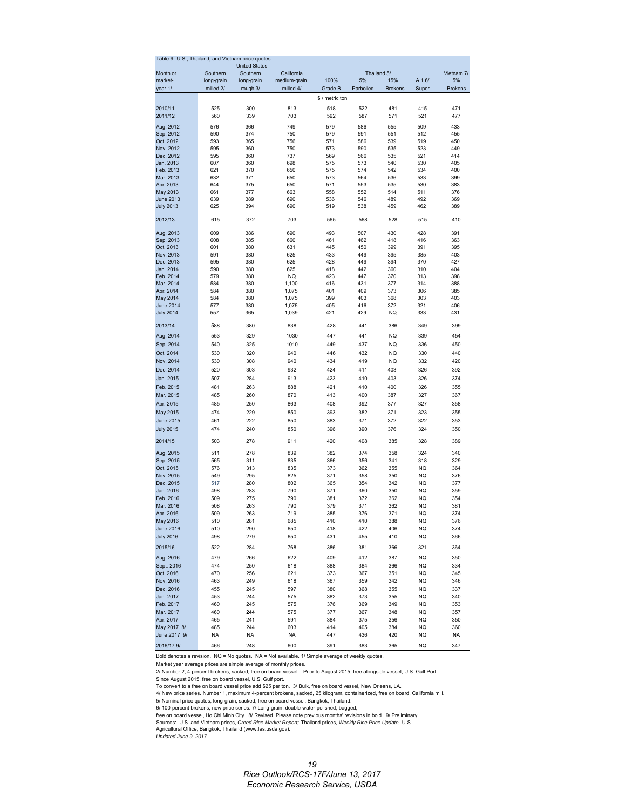| Table 9--U.S.,         |            | Thailand, and Vietnam price quotes |              |                 |             |                |           |                |
|------------------------|------------|------------------------------------|--------------|-----------------|-------------|----------------|-----------|----------------|
|                        |            | <b>United States</b>               |              |                 |             |                |           |                |
| Month or               | Southern   | Southern                           | California   |                 | Thailand 5/ |                |           | Vietnam 7/     |
| market-                | long-grain | long-grain                         | medium-grain | 100%            | 5%          | 15%            | A.16/     | 5%             |
| year 1/                | milled 2/  | rough 3/                           | milled 4/    | Grade B         | Parboiled   | <b>Brokens</b> | Super     | <b>Brokens</b> |
|                        |            |                                    |              | \$ / metric ton |             |                |           |                |
| 2010/11                | 525        | 300                                | 813          | 518             | 522         | 481            | 415       | 471            |
| 2011/12                | 560        | 339                                | 703          | 592             | 587         | 571            | 521       | 477            |
|                        |            |                                    |              |                 |             |                |           |                |
| Aug. 2012              | 576        | 366                                | 749          | 579             | 586         | 555            | 509       | 433            |
| Sep. 2012              | 590        | 374                                | 750          | 579             | 591         | 551            | 512       | 455            |
| Oct. 2012              | 593        | 365                                | 756          | 571             | 586         | 539            | 519       | 450            |
| Nov. 2012              | 595        | 360                                | 750          | 573             | 590         | 535            | 523       | 449            |
| Dec. 2012              | 595        | 360                                | 737          | 569             | 566         | 535            | 521       | 414            |
| Jan. 2013              | 607        | 360                                | 698          | 575             | 573         | 540            | 530       | 405            |
| Feb. 2013              | 621        | 370                                | 650          | 575             | 574         | 542            | 534       | 400            |
| Mar. 2013              | 632        | 371                                | 650          | 573             | 564         | 536            | 533       | 399            |
| Apr. 2013              | 644        | 375                                | 650          | 571             | 553         | 535            | 530       | 383            |
| May 2013               | 661        | 377                                | 663          | 558             | 552         | 514            | 511       | 376            |
| June 2013              | 639        | 389                                | 690          | 536             | 546         | 489            | 492       | 369            |
| <b>July 2013</b>       | 625        | 394                                | 690          | 519             | 538         | 459            | 462       | 389            |
|                        |            |                                    |              |                 |             |                |           |                |
| 2012/13                | 615        | 372                                | 703          | 565             | 568         | 528            | 515       | 410            |
|                        |            |                                    |              |                 |             |                |           |                |
| Aug. 2013              | 609        | 386                                | 690          | 493             | 507         | 430            | 428       | 391            |
| Sep. 2013              | 608        | 385                                | 660          | 461             | 462         | 418            | 416       | 363            |
| Oct. 2013              | 601        | 380                                | 631          | 445             | 450         | 399            | 391       | 395            |
| Nov. 2013              | 591        | 380                                | 625          | 433             | 449         | 395            | 385       | 403            |
| Dec. 2013              | 595        | 380                                | 625          | 428             | 449         | 394            | 370       | 427            |
| Jan. 2014              | 590        | 380                                | 625          | 418             | 442         | 360            | 310       | 404            |
| Feb. 2014              | 579        | 380                                | <b>NQ</b>    | 423             | 447         | 370            | 313       | 398            |
| Mar. 2014              | 584        | 380                                | 1,100        | 416             | 431         | 377            | 314       | 388            |
| Apr. 2014              | 584        | 380                                | 1,075        | 401             | 409         | 373            | 306       | 385            |
| May 2014               | 584        | 380                                | 1,075        | 399             | 403         | 368            | 303       | 403            |
| <b>June 2014</b>       | 577        | 380                                | 1,075        | 405             | 416         | 372            | 321       | 406            |
| <b>July 2014</b>       | 557        | 365                                | 1,039        | 421             | 429         | NQ             | 333       | 431            |
|                        |            |                                    |              |                 |             |                |           |                |
| 2013/14                | 588        | 380                                | 838          | 428             | 441         | 386            | 349       | 399            |
| Aug. 2014              | 553        | 329                                | 1030         | 447             | 441         | NQ             | 339       | 454            |
| Sep. 2014              | 540        | 325                                | 1010         | 449             | 437         | NQ             | 336       | 450            |
|                        |            |                                    |              |                 |             |                |           |                |
| Oct. 2014              | 530        | 320                                | 940          | 446             | 432         | <b>NQ</b>      | 330       | 440            |
| Nov. 2014              | 530        | 308                                | 940          | 434             | 419         | NQ             | 332       | 420            |
| Dec. 2014              | 520        | 303                                | 932          | 424             | 411         | 403            | 326       | 392            |
| Jan. 2015              | 507        | 284                                | 913          | 423             | 410         | 403            | 326       | 374            |
| Feb. 2015              | 481        | 263                                | 888          | 421             | 410         | 400            | 326       | 355            |
| Mar. 2015              | 485        | 260                                | 870          | 413             | 400         | 387            | 327       | 367            |
|                        |            |                                    |              |                 |             |                |           |                |
| Apr. 2015              | 485        | 250                                | 863          | 408             | 392         | 377            | 327       | 358            |
| May 2015               | 474        | 229                                | 850          | 393             | 382         | 371            | 323       | 355            |
| <b>June 2015</b>       | 461        | 222                                | 850          | 383             | 371         | 372            | 322       | 353            |
| <b>July 2015</b>       | 474        | 240                                | 850          | 396             | 390         | 376            | 324       | 350            |
|                        |            |                                    |              |                 |             |                |           |                |
| 2014/15                | 503        | 278                                | 911          | 420             | 408         | 385            | 328       | 389            |
|                        | 511        | 278                                | 839          | 382             | 374         | 358            | 324       | 340            |
| Aug. 2015<br>Sep. 2015 | 565        | 311                                | 835          | 366             | 356         | 341            | 318       | 329            |
|                        |            |                                    |              |                 |             |                |           |                |
| Oct. 2015              | 576        | 313                                | 835          | 373             | 362         | 355            | NQ        | 364            |
| Nov. 2015              | 549        | 295                                | 825          | 371             | 358         | 350            | NQ        | 376            |
| Dec. 2015              | 517        | 280                                | 802          | 365             | 354         | 342            | NQ        | 377            |
| Jan. 2016              | 498        | 283                                | 790          | 371             | 360         | 350            | NQ        | 359            |
| Feb. 2016              | 509        | 275                                | 790          | 381             | 372         | 362            | <b>NQ</b> | 354            |
| Mar. 2016              | 508        | 263                                | 790          | 379             | 371         | 362            | NQ        | 381            |
| Apr. 2016              | 509        | 263                                | 719          | 385             | 376         | 371            | <b>NQ</b> | 374            |
| May 2016               | 510        | 281                                | 685          | 410             | 410         | 388            | NQ        | 376            |
| <b>June 2016</b>       | 510        | 290                                | 650          | 418             | 422         | 406            | NQ        | 374            |
| <b>July 2016</b>       | 498        | 279                                | 650          | 431             | 455         | 410            | NQ        | 366            |
|                        |            |                                    |              |                 |             |                |           |                |
| 2015/16                | 522        | 284                                | 768          | 386             | 381         | 366            | 321       | 364            |
| Aug. 2016              | 479        | 266                                | 622          | 409             | 412         | 387            | NQ        | 350            |
| Sept. 2016             | 474        | 250                                | 618          | 388             | 384         | 366            | NQ        | 334            |
| Oct. 2016              | 470        | 256                                | 621          | 373             | 367         | 351            | NQ        | 345            |
| Nov. 2016              | 463        | 249                                | 618          | 367             | 359         | 342            | NQ        | 346            |
| Dec. 2016              | 455        | 245                                | 597          | 380             | 368         | 355            | NQ        | 337            |
| Jan. 2017              | 453        | 244                                | 575          | 382             | 373         | 355            | NQ        | 340            |
|                        |            |                                    |              |                 |             |                |           |                |
| Feb. 2017              | 460        | 245                                | 575          | 376             | 369         | 349            | NQ        | 353            |
| Mar. 2017              | 460        | 244                                | 575          | 377             | 367         | 348            | NQ        | 357            |
| Apr. 2017              | 465        | 241                                | 591          | 384             | 375         | 356            | NQ        | 350            |
| May 2017 8/            | 485        | 244                                | 603          | 414             | 405         | 384            | NQ        | 360            |
| June 2017 9/           | NA         | <b>NA</b>                          | ΝA           | 447             | 436         | 420            | NQ        | <b>NA</b>      |
| 2016/17 9/             | 466        | 248                                | 600          | 391             | 383         | 365            | NQ        | 347            |

Bold denotes a revision. NQ = No quotes. NA = Not available. 1/ Simple average of weekly quotes.

Market year average prices are simple average of monthly prices.

2/ Number 2, 4-percent brokens, sacked, free on board vessel.. Prior to August 2015, free alongside vessel, U.S. Gulf Port.

Since August 2015, free on board vessel, U.S. Gulf port. To convert to a free on board vessel price add \$25 per ton. 3/ Bulk, free on board vessel, New Orleans, LA.

4/ New price series. Number 1, maximum 4-percent brokens, sacked, 25 kilogram, containerized, free on board, California mill.<br>5/ Nominal price quotes, long-grain, sacked, free on board vessel, Bangkok, Thailand.

6/ 100-percent brokens, new price series. 7/ Long-grain, double-water-polished, bagged,<br>free on board vessel, Ho Chi Minh City. 8/ Revised. Please note previous months' revisions in bold. 9/ Preliminary.<br>Sources: U.S. a

*Updated June 9, 2017.*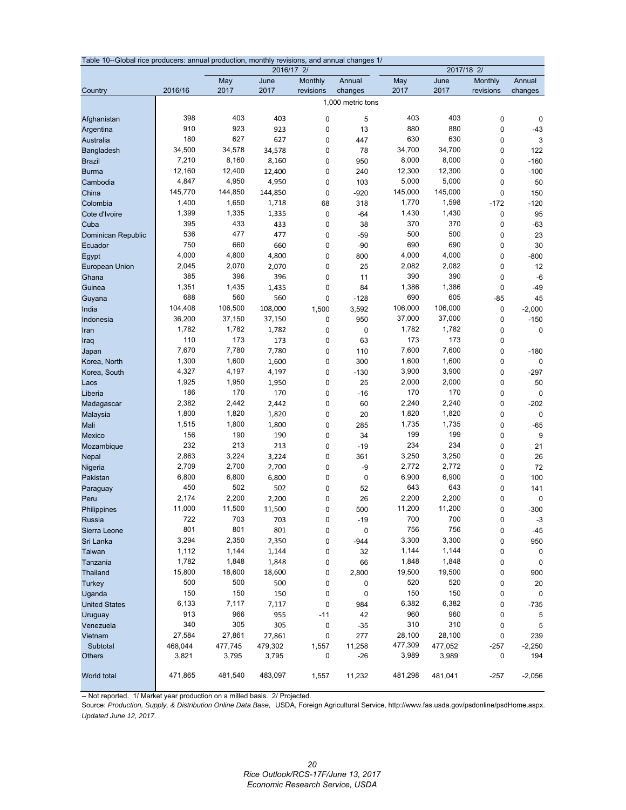|                      | Table 10--Global rice producers: annual production, monthly revisions, and annual changes 1/<br>2017/18 2/ |         |            |             |                   |         |         |             |             |  |  |
|----------------------|------------------------------------------------------------------------------------------------------------|---------|------------|-------------|-------------------|---------|---------|-------------|-------------|--|--|
|                      |                                                                                                            |         | 2016/17 2/ |             |                   |         |         |             |             |  |  |
|                      |                                                                                                            | May     | June       | Monthly     | Annual            | May     | June    | Monthly     | Annual      |  |  |
| Country              | 2016/16                                                                                                    | 2017    | 2017       | revisions   | changes           | 2017    | 2017    | revisions   | changes     |  |  |
|                      |                                                                                                            |         |            |             | 1,000 metric tons |         |         |             |             |  |  |
| Afghanistan          | 398                                                                                                        | 403     | 403        | $\mathbf 0$ | 5                 | 403     | 403     | $\mathbf 0$ | $\mathbf 0$ |  |  |
| Argentina            | 910                                                                                                        | 923     | 923        | $\mathbf 0$ | 13                | 880     | 880     | 0           | $-43$       |  |  |
| Australia            | 180                                                                                                        | 627     | 627        | $\mathbf 0$ | 447               | 630     | 630     | $\mathbf 0$ | 3           |  |  |
| Bangladesh           | 34,500                                                                                                     | 34,578  | 34,578     | $\mathbf 0$ | 78                | 34,700  | 34,700  | 0           | 122         |  |  |
| <b>Brazil</b>        | 7,210                                                                                                      | 8,160   | 8,160      | $\mathbf 0$ | 950               | 8,000   | 8,000   | 0           | $-160$      |  |  |
| <b>Burma</b>         | 12,160                                                                                                     | 12,400  | 12,400     | 0           | 240               | 12,300  | 12,300  | 0           | $-100$      |  |  |
| Cambodia             | 4,847                                                                                                      | 4,950   | 4,950      | 0           | 103               | 5,000   | 5,000   | 0           | 50          |  |  |
| China                | 145,770                                                                                                    | 144,850 | 144,850    | $\mathbf 0$ | $-920$            | 145,000 | 145,000 | $\mathbf 0$ | 150         |  |  |
| Colombia             | 1,400                                                                                                      | 1,650   | 1,718      | 68          | 318               | 1,770   | 1,598   | $-172$      | $-120$      |  |  |
| Cote d'Ivoire        | 1,399                                                                                                      | 1,335   | 1,335      | $\pmb{0}$   | $-64$             | 1,430   | 1,430   | 0           | 95          |  |  |
| Cuba                 | 395                                                                                                        | 433     | 433        | $\pmb{0}$   | 38                | 370     | 370     | 0           | $-63$       |  |  |
| Dominican Republic   | 536                                                                                                        | 477     | 477        | $\mathbf 0$ | $-59$             | 500     | 500     | 0           | 23          |  |  |
| Ecuador              | 750                                                                                                        | 660     | 660        | 0           | $-90$             | 690     | 690     | 0           | 30          |  |  |
| Egypt                | 4,000                                                                                                      | 4,800   | 4,800      | $\mathbf 0$ | 800               | 4,000   | 4,000   | $\mathbf 0$ | $-800$      |  |  |
| European Union       | 2,045                                                                                                      | 2,070   | 2,070      | $\mathbf 0$ | 25                | 2,082   | 2,082   | 0           | 12          |  |  |
| Ghana                | 385                                                                                                        | 396     | 396        | 0           | 11                | 390     | 390     | 0           | $-6$        |  |  |
| Guinea               | 1,351                                                                                                      | 1,435   | 1,435      | $\mathbf 0$ | 84                | 1,386   | 1,386   | $\mathbf 0$ | $-49$       |  |  |
| Guyana               | 688                                                                                                        | 560     | 560        | 0           | $-128$            | 690     | 605     | $-85$       | 45          |  |  |
| India                | 104,408                                                                                                    | 106,500 | 108,000    | 1,500       | 3,592             | 106,000 | 106,000 | 0           | $-2,000$    |  |  |
| Indonesia            | 36,200                                                                                                     | 37,150  | 37,150     | 0           | 950               | 37,000  | 37,000  | 0           | $-150$      |  |  |
| Iran                 | 1,782                                                                                                      | 1,782   | 1,782      | $\mathbf 0$ | $\pmb{0}$         | 1,782   | 1,782   | 0           | $\mathbf 0$ |  |  |
| Iraq                 | 110                                                                                                        | 173     | 173        | $\pmb{0}$   | 63                | 173     | 173     | 0           |             |  |  |
| Japan                | 7,670                                                                                                      | 7,780   | 7,780      | 0           | 110               | 7,600   | 7,600   | 0           | $-180$      |  |  |
| Korea, North         | 1,300                                                                                                      | 1,600   | 1,600      | 0           | 300               | 1,600   | 1,600   | 0           | $\pmb{0}$   |  |  |
| Korea, South         | 4,327                                                                                                      | 4,197   | 4,197      | 0           | $-130$            | 3,900   | 3,900   | 0           | $-297$      |  |  |
| Laos                 | 1,925                                                                                                      | 1,950   | 1,950      | $\mathbf 0$ | 25                | 2,000   | 2,000   | 0           | 50          |  |  |
| Liberia              | 186                                                                                                        | 170     | 170        | 0           | $-16$             | 170     | 170     | 0           | $\mathbf 0$ |  |  |
| Madagascar           | 2,382                                                                                                      | 2,442   | 2,442      | $\mathbf 0$ | 60                | 2,240   | 2,240   | $\mathbf 0$ | $-202$      |  |  |
| Malaysia             | 1,800                                                                                                      | 1,820   | 1,820      | $\mathbf 0$ | 20                | 1,820   | 1,820   | 0           | $\mathbf 0$ |  |  |
| Mali                 | 1,515                                                                                                      | 1,800   | 1,800      | $\mathbf 0$ | 285               | 1,735   | 1,735   | 0           | $-65$       |  |  |
| Mexico               | 156                                                                                                        | 190     | 190        | 0           | 34                | 199     | 199     | 0           | 9           |  |  |
| Mozambique           | 232                                                                                                        | 213     | 213        | 0           | $-19$             | 234     | 234     | 0           | 21          |  |  |
| Nepal                | 2,863                                                                                                      | 3,224   | 3,224      | 0           | 361               | 3,250   | 3,250   | 0           | 26          |  |  |
| Nigeria              | 2,709                                                                                                      | 2,700   | 2,700      | 0           | -9                | 2,772   | 2,772   | 0           | 72          |  |  |
| Pakistan             | 6,800                                                                                                      | 6,800   | 6,800      | $\mathbf 0$ | $\pmb{0}$         | 6,900   | 6,900   | 0           | 100         |  |  |
| Paraguay             | 450                                                                                                        | 502     | 502        | $\mathbf 0$ | 52                | 643     | 643     | 0           | 141         |  |  |
| Peru                 | 2,174                                                                                                      | 2,200   | 2,200      | $\mathbf 0$ | 26                | 2,200   | 2,200   | 0           | $\mathbf 0$ |  |  |
| Philippines          | 11,000                                                                                                     | 11,500  | 11,500     | $\mathbf 0$ | 500               | 11,200  | 11,200  | $\mathbf 0$ | $-300$      |  |  |
| <b>Russia</b>        | 722                                                                                                        | 703     | 703        | 0           | $-19$             | 700     | 700     | 0           | $-3$        |  |  |
| Sierra Leone         | 801                                                                                                        | 801     | 801        | 0           | 0                 | 756     | 756     | 0           | $-45$       |  |  |
| Sri Lanka            | 3,294                                                                                                      | 2,350   | 2,350      | 0           | $-944$            | 3,300   | 3,300   | 0           | 950         |  |  |
| Taiwan               | 1,112                                                                                                      | 1,144   | 1,144      | 0           | 32                | 1,144   | 1,144   | 0           | $\mathbf 0$ |  |  |
| Tanzania             | 1,782                                                                                                      | 1,848   | 1,848      | 0           | 66                | 1,848   | 1,848   | 0           | $\mathbf 0$ |  |  |
| Thailand             | 15,800                                                                                                     | 18,600  | 18,600     | 0           | 2,800             | 19,500  | 19,500  | 0           | 900         |  |  |
| Turkey               | 500                                                                                                        | 500     | 500        | 0           | 0                 | 520     | 520     | 0           | 20          |  |  |
| Uganda               | 150                                                                                                        | 150     | 150        | $\pmb{0}$   | 0                 | 150     | 150     | 0           | $\mathbf 0$ |  |  |
| <b>United States</b> | 6,133                                                                                                      | 7,117   | 7,117      | 0           | 984               | 6,382   | 6,382   | 0           | $-735$      |  |  |
| Uruguay              | 913                                                                                                        | 966     | 955        | $-11$       | 42                | 960     | 960     | 0           | 5           |  |  |
| Venezuela            | 340                                                                                                        | 305     | 305        | 0           | $-35$             | 310     | 310     | 0           | 5           |  |  |
| Vietnam              | 27,584                                                                                                     | 27,861  | 27,861     | 0           | 277               | 28,100  | 28,100  | 0           | 239         |  |  |
| Subtotal             | 468,044                                                                                                    | 477,745 | 479,302    | 1,557       | 11,258            | 477,309 | 477,052 | $-257$      | $-2,250$    |  |  |
| <b>Others</b>        | 3,821                                                                                                      | 3,795   | 3,795      | 0           | $-26$             | 3,989   | 3,989   | 0           | 194         |  |  |
|                      |                                                                                                            |         |            |             |                   |         |         |             |             |  |  |
| World total          | 471,865                                                                                                    | 481,540 | 483,097    | 1,557       | 11,232            | 481,298 | 481,041 | -257        | $-2,056$    |  |  |

-- Not reported. 1/ Market year production on a milled basis. 2/ Projected.

Source: *Production, Supply, & Distribution Online Data Base,* USDA, Foreign Agricultural Service, http://www.fas.usda.gov/psdonline/psdHome.aspx. *Updated June 12, 2017.*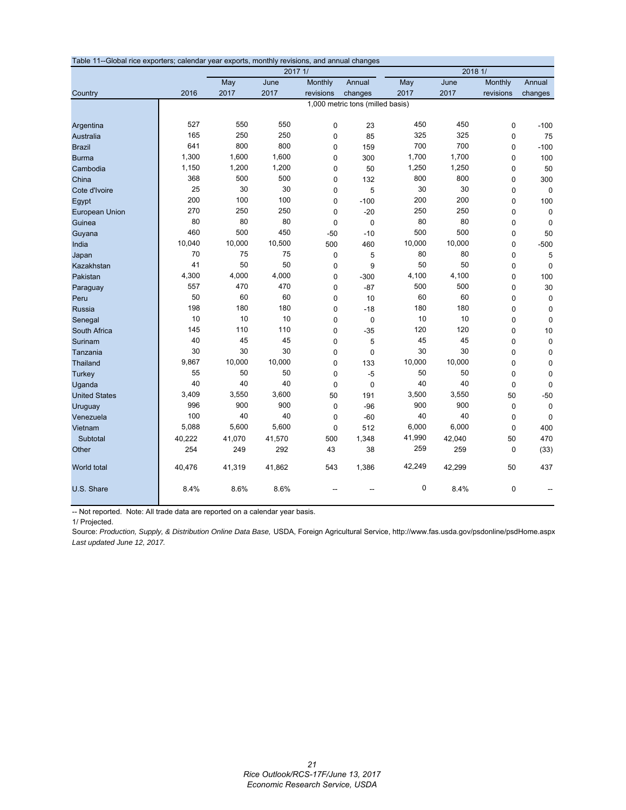| Table 11--Global rice exporters; calendar year exports, monthly revisions, and annual changes |        |        |         |             |                                  |        |         |             |             |
|-----------------------------------------------------------------------------------------------|--------|--------|---------|-------------|----------------------------------|--------|---------|-------------|-------------|
|                                                                                               |        |        | 2017 1/ |             |                                  |        | 2018 1/ |             |             |
|                                                                                               |        | May    | June    | Monthly     | Annual                           | May    | June    | Monthly     | Annual      |
| Country                                                                                       | 2016   | 2017   | 2017    | revisions   | changes                          | 2017   | 2017    | revisions   | changes     |
|                                                                                               |        |        |         |             | 1,000 metric tons (milled basis) |        |         |             |             |
|                                                                                               |        |        |         |             |                                  |        |         |             |             |
| Argentina                                                                                     | 527    | 550    | 550     | $\mathbf 0$ | 23                               | 450    | 450     | 0           | $-100$      |
| Australia                                                                                     | 165    | 250    | 250     | $\pmb{0}$   | 85                               | 325    | 325     | $\pmb{0}$   | 75          |
| <b>Brazil</b>                                                                                 | 641    | 800    | 800     | $\mathbf 0$ | 159                              | 700    | 700     | 0           | $-100$      |
| <b>Burma</b>                                                                                  | 1,300  | 1,600  | 1,600   | $\pmb{0}$   | 300                              | 1,700  | 1,700   | 0           | 100         |
| Cambodia                                                                                      | 1,150  | 1,200  | 1,200   | $\mathbf 0$ | 50                               | 1,250  | 1,250   | $\pmb{0}$   | 50          |
| China                                                                                         | 368    | 500    | 500     | $\mathbf 0$ | 132                              | 800    | 800     | 0           | 300         |
| Cote d'Ivoire                                                                                 | 25     | 30     | 30      | $\mathbf 0$ | 5                                | 30     | 30      | 0           | $\mathbf 0$ |
| Egypt                                                                                         | 200    | 100    | 100     | $\mathbf 0$ | $-100$                           | 200    | 200     | 0           | 100         |
| <b>European Union</b>                                                                         | 270    | 250    | 250     | $\mathbf 0$ | $-20$                            | 250    | 250     | 0           | $\mathbf 0$ |
| Guinea                                                                                        | 80     | 80     | 80      | $\mathbf 0$ | $\mathbf 0$                      | 80     | 80      | 0           | $\Omega$    |
| Guyana                                                                                        | 460    | 500    | 450     | $-50$       | $-10$                            | 500    | 500     | 0           | 50          |
| India                                                                                         | 10,040 | 10,000 | 10,500  | 500         | 460                              | 10,000 | 10,000  | 0           | $-500$      |
| Japan                                                                                         | 70     | 75     | 75      | $\pmb{0}$   | 5                                | 80     | 80      | $\pmb{0}$   | 5           |
| Kazakhstan                                                                                    | 41     | 50     | 50      | $\mathbf 0$ | 9                                | 50     | 50      | 0           | $\mathbf 0$ |
| Pakistan                                                                                      | 4,300  | 4,000  | 4,000   | $\pmb{0}$   | $-300$                           | 4,100  | 4,100   | $\pmb{0}$   | 100         |
| Paraguay                                                                                      | 557    | 470    | 470     | $\mathbf 0$ | $-87$                            | 500    | 500     | 0           | 30          |
| Peru                                                                                          | 50     | 60     | 60      | 0           | 10                               | 60     | 60      | 0           | 0           |
| <b>Russia</b>                                                                                 | 198    | 180    | 180     | $\mathbf 0$ | $-18$                            | 180    | 180     | $\mathbf 0$ | $\mathbf 0$ |
| Senegal                                                                                       | 10     | 10     | 10      | $\mathbf 0$ | $\mathbf 0$                      | 10     | 10      | 0           | $\mathbf 0$ |
| South Africa                                                                                  | 145    | 110    | 110     | $\mathbf 0$ | $-35$                            | 120    | 120     | 0           | 10          |
| Surinam                                                                                       | 40     | 45     | 45      | $\pmb{0}$   | 5                                | 45     | 45      | 0           | $\mathbf 0$ |
| Tanzania                                                                                      | 30     | 30     | 30      | 0           | $\mathbf 0$                      | 30     | 30      | 0           | $\mathbf 0$ |
| <b>Thailand</b>                                                                               | 9,867  | 10,000 | 10,000  | $\mathbf 0$ | 133                              | 10,000 | 10,000  | $\pmb{0}$   | $\pmb{0}$   |
| <b>Turkey</b>                                                                                 | 55     | 50     | 50      | $\mathbf 0$ | $-5$                             | 50     | 50      | $\pmb{0}$   | $\mathbf 0$ |
| Uganda                                                                                        | 40     | 40     | 40      | $\mathbf 0$ | $\mathbf 0$                      | 40     | 40      | $\pmb{0}$   | $\mathbf 0$ |
| <b>United States</b>                                                                          | 3,409  | 3,550  | 3,600   | 50          | 191                              | 3,500  | 3,550   | 50          | $-50$       |
| Uruguay                                                                                       | 996    | 900    | 900     | $\mathbf 0$ | $-96$                            | 900    | 900     | 0           | $\mathbf 0$ |
| Venezuela                                                                                     | 100    | 40     | 40      | $\mathbf 0$ | $-60$                            | 40     | 40      | 0           | 0           |
| Vietnam                                                                                       | 5,088  | 5,600  | 5,600   | $\mathbf 0$ | 512                              | 6,000  | 6,000   | 0           | 400         |
| Subtotal                                                                                      | 40,222 | 41,070 | 41,570  | 500         | 1,348                            | 41,990 | 42,040  | 50          | 470         |
| Other                                                                                         | 254    | 249    | 292     | 43          | 38                               | 259    | 259     | 0           | (33)        |
| World total                                                                                   | 40,476 | 41,319 | 41,862  | 543         | 1,386                            | 42,249 | 42,299  | 50          | 437         |
| U.S. Share                                                                                    | 8.4%   | 8.6%   | 8.6%    |             |                                  | 0      | 8.4%    | 0           |             |

-- Not reported. Note: All trade data are reported on a calendar year basis.

1/ Projected.

Source: *Production, Supply, & Distribution Online Data Base,* USDA, Foreign Agricultural Service, http://www.fas.usda.gov/psdonline/psdHome.aspx *Last updated June 12, 2017.*